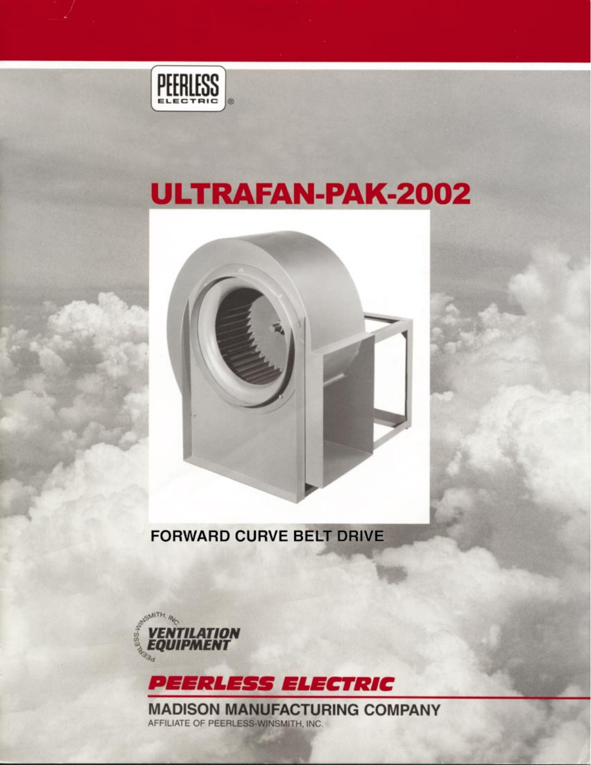

# **ULTRAFAN-PAK-2002**



**FORWARD CURVE BELT DRIVE** 





**MADISON MANUFACTURING COMPANY** AFFILIATE OF PEERLESS-WINSMITH, INC.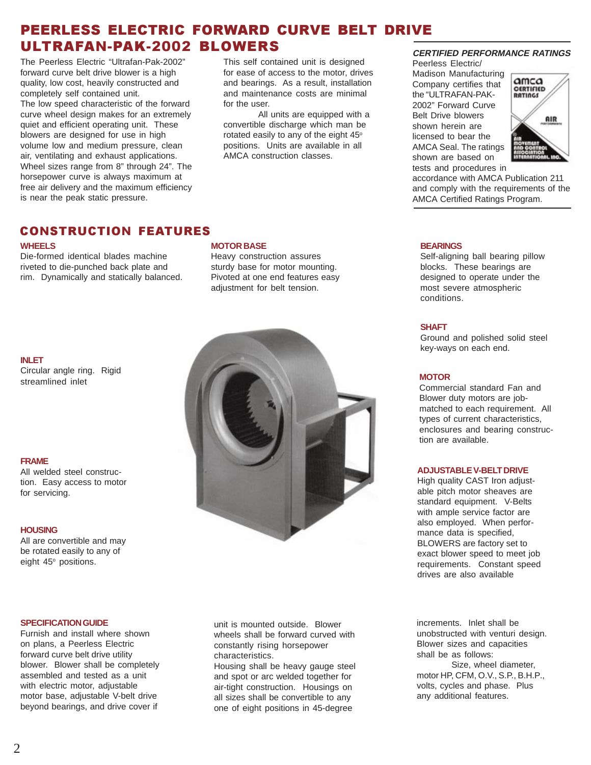The Peerless Electric "Ultrafan-Pak-2002" forward curve belt drive blower is a high quality, low cost, heavily constructed and completely self contained unit. The low speed characteristic of the forward curve wheel design makes for an extremely quiet and efficient operating unit. These blowers are designed for use in high volume low and medium pressure, clean air, ventilating and exhaust applications. Wheel sizes range from 8" through 24". The horsepower curve is always maximum at free air delivery and the maximum efficiency is near the peak static pressure.

This self contained unit is designed for ease of access to the motor, drives and bearings. As a result, installation and maintenance costs are minimal for the user.

All units are equipped with a convertible discharge which man be rotated easily to any of the eight 45° positions. Units are available in all AMCA construction classes.

### **CERTIFIED PERFORMANCE RATINGS**

Peerless Electric/ Madison Manufacturing Company certifies that the "ULTRAFAN-PAK-2002" Forward Curve Belt Drive blowers shown herein are licensed to bear the AMCA Seal. The ratings shown are based on tests and procedures in



accordance with AMCA Publication 211 and comply with the requirements of the AMCA Certified Ratings Program.

### CONSTRUCTION FEATURES

#### **WHEELS**

Die-formed identical blades machine riveted to die-punched back plate and rim. Dynamically and statically balanced.

#### **MOTOR BASE**

Heavy construction assures sturdy base for motor mounting. Pivoted at one end features easy adjustment for belt tension.

### **INLET**

Circular angle ring. Rigid streamlined inlet

### **FRAME**

All welded steel construction. Easy access to motor for servicing.

#### **HOUSING**

All are convertible and may be rotated easily to any of eight  $45^\circ$  positions.

#### **SPECIFICATION GUIDE**

Furnish and install where shown on plans, a Peerless Electric forward curve belt drive utility blower. Blower shall be completely assembled and tested as a unit with electric motor, adjustable motor base, adjustable V-belt drive beyond bearings, and drive cover if



unit is mounted outside. Blower wheels shall be forward curved with constantly rising horsepower characteristics.

Housing shall be heavy gauge steel and spot or arc welded together for air-tight construction. Housings on all sizes shall be convertible to any one of eight positions in 45-degree

#### **BEARINGS**

Self-aligning ball bearing pillow blocks. These bearings are designed to operate under the most severe atmospheric conditions.

### **SHAFT**

Ground and polished solid steel key-ways on each end.

### **MOTOR**

Commercial standard Fan and Blower duty motors are jobmatched to each requirement. All types of current characteristics, enclosures and bearing construction are available.

#### **ADJUSTABLE V-BELT DRIVE**

High quality CAST Iron adjustable pitch motor sheaves are standard equipment. V-Belts with ample service factor are also employed. When performance data is specified, BLOWERS are factory set to exact blower speed to meet job requirements. Constant speed drives are also available

increments. Inlet shall be unobstructed with venturi design. Blower sizes and capacities shall be as follows:

Size, wheel diameter, motor HP, CFM, O.V., S.P., B.H.P., volts, cycles and phase. Plus any additional features.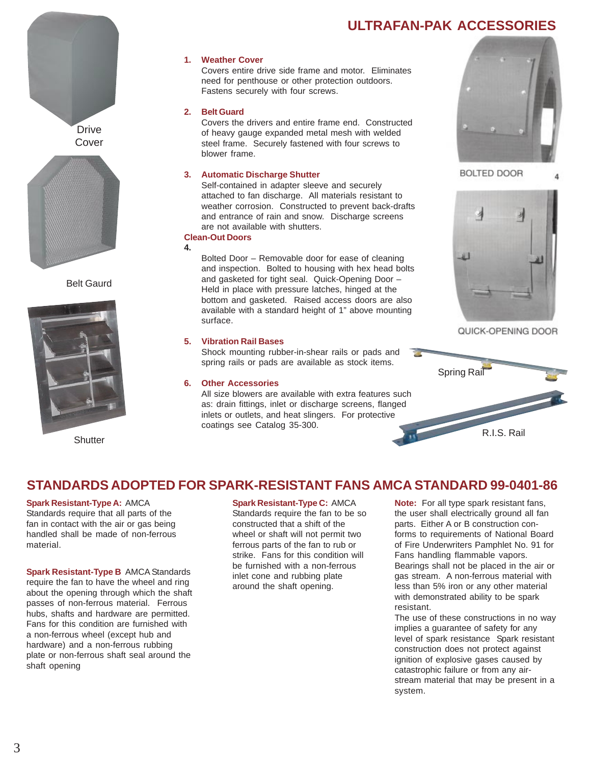### **ULTRAFAN-PAK ACCESSORIES**



Cover



Belt Gaurd



**Shutter** 

### **1. Weather Cover**

Covers entire drive side frame and motor. Eliminates need for penthouse or other protection outdoors. Fastens securely with four screws.

### **2. Belt Guard**

Covers the drivers and entire frame end. Constructed of heavy gauge expanded metal mesh with welded steel frame. Securely fastened with four screws to blower frame.

### **3. Automatic Discharge Shutter**

Self-contained in adapter sleeve and securely attached to fan discharge. All materials resistant to weather corrosion. Constructed to prevent back-drafts and entrance of rain and snow. Discharge screens are not available with shutters.

#### **Clean-Out Doors 4.**

Bolted Door – Removable door for ease of cleaning and inspection. Bolted to housing with hex head bolts and gasketed for tight seal. Quick-Opening Door – Held in place with pressure latches, hinged at the bottom and gasketed. Raised access doors are also available with a standard height of 1" above mounting surface.

### **5. Vibration Rail Bases**

Shock mounting rubber-in-shear rails or pads and spring rails or pads are available as stock items.

### **6. Other Accessories**

All size blowers are available with extra features such as: drain fittings, inlet or discharge screens, flanged inlets or outlets, and heat slingers. For protective coatings see Catalog 35-300.



**BOLTED DOOR** 



QUICK-OPENING DOOR



### **STANDARDS ADOPTED FOR SPARK-RESISTANT FANS AMCA STANDARD 99-0401-86**

#### **Spark Resistant-Type A:** AMCA Standards require that all parts of the fan in contact with the air or gas being handled shall be made of non-ferrous material.

**Spark Resistant-Type B** AMCA Standards require the fan to have the wheel and ring about the opening through which the shaft passes of non-ferrous material. Ferrous hubs, shafts and hardware are permitted. Fans for this condition are furnished with a non-ferrous wheel (except hub and hardware) and a non-ferrous rubbing plate or non-ferrous shaft seal around the shaft opening

### **Spark Resistant-Type C:** AMCA

Standards require the fan to be so constructed that a shift of the wheel or shaft will not permit two ferrous parts of the fan to rub or strike. Fans for this condition will be furnished with a non-ferrous inlet cone and rubbing plate around the shaft opening.

**Note:** For all type spark resistant fans, the user shall electrically ground all fan parts. Either A or B construction conforms to requirements of National Board of Fire Underwriters Pamphlet No. 91 for Fans handling flammable vapors. Bearings shall not be placed in the air or gas stream. A non-ferrous material with less than 5% iron or any other material with demonstrated ability to be spark resistant.

The use of these constructions in no way implies a guarantee of safety for any level of spark resistance Spark resistant construction does not protect against ignition of explosive gases caused by catastrophic failure or from any airstream material that may be present in a system.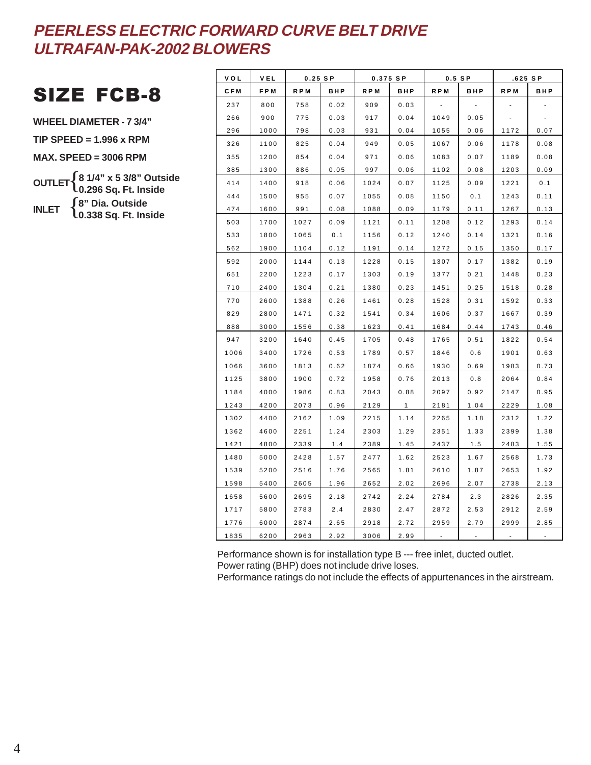## SIZE FCB-8

**WHEEL DIAMETER - 7 3/4"**

**TIP SPEED = 1.996 x RPM**

**MAX. SPEED = 3006 RPM**

- **OUTLET** { **8 1/4" x 5 3/8" Outside 0.296 Sq. Ft. Inside**
- **INLET** { **8" Dia. Outside 0.338 Sq. Ft. Inside**

| VOL        | VEL  | $0.25$ SP |      |       | 0.375 SP     | $0.5$ SP |      | $.625$ SP |      |
|------------|------|-----------|------|-------|--------------|----------|------|-----------|------|
| <b>CFM</b> | FPM  | R P M     | BHP  | R P M | <b>BHP</b>   | R P M    | BHP  | R P M     | BHP  |
| 237        | 800  | 758       | 0.02 | 909   | 0.03         |          |      |           |      |
| 266        | 900  | 775       | 0.03 | 917   | 0.04         | 1049     | 0.05 |           |      |
| 296        | 1000 | 798       | 0.03 | 931   | 0.04         | 1055     | 0.06 | 1172      | 0.07 |
| 326        | 1100 | 825       | 0.04 | 949   | 0.05         | 1067     | 0.06 | 1178      | 0.08 |
| 355        | 1200 | 854       | 0.04 | 971   | 0.06         | 1083     | 0.07 | 1189      | 0.08 |
| 385        | 1300 | 886       | 0.05 | 997   | 0.06         | 1102     | 0.08 | 1203      | 0.09 |
| 414        | 1400 | 918       | 0.06 | 1024  | 0.07         | 1125     | 0.09 | 1221      | 0.1  |
| 444        | 1500 | 955       | 0.07 | 1055  | 0.08         | 1150     | 0.1  | 1243      | 0.11 |
| 474        | 1600 | 991       | 0.08 | 1088  | 0.09         | 1179     | 0.11 | 1267      | 0.13 |
| 503        | 1700 | 1027      | 0.09 | 1121  | 0.11         | 1208     | 0.12 | 1293      | 0.14 |
| 533        | 1800 | 1065      | 0.1  | 1156  | 0.12         | 1240     | 0.14 | 1321      | 0.16 |
| 562        | 1900 | 1104      | 0.12 | 1191  | 0.14         | 1272     | 0.15 | 1350      | 0.17 |
| 592        | 2000 | 1144      | 0.13 | 1228  | 0.15         | 1307     | 0.17 | 1382      | 0.19 |
| 651        | 2200 | 1223      | 0.17 | 1303  | 0.19         | 1377     | 0.21 | 1448      | 0.23 |
| 710        | 2400 | 1304      | 0.21 | 1380  | 0.23         | 1451     | 0.25 | 1518      | 0.28 |
| 770        | 2600 | 1388      | 0.26 | 1461  | 0.28         | 1528     | 0.31 | 1592      | 0.33 |
| 829        | 2800 | 1471      | 0.32 | 1541  | 0.34         | 1606     | 0.37 | 1667      | 0.39 |
| 888        | 3000 | 1556      | 0.38 | 1623  | 0.41         | 1684     | 0.44 | 1743      | 0.46 |
| 947        | 3200 | 1640      | 0.45 | 1705  | 0.48         | 1765     | 0.51 | 1822      | 0.54 |
| 1006       | 3400 | 1726      | 0.53 | 1789  | 0.57         | 1846     | 0.6  | 1901      | 0.63 |
| 1066       | 3600 | 1813      | 0.62 | 1874  | 0.66         | 1930     | 0.69 | 1983      | 0.73 |
| 1125       | 3800 | 1900      | 0.72 | 1958  | 0.76         | 2013     | 0.8  | 2064      | 0.84 |
| 1184       | 4000 | 1986      | 0.83 | 2043  | 0.88         | 2097     | 0.92 | 2147      | 0.95 |
| 1243       | 4200 | 2073      | 0.96 | 2129  | $\mathbf{1}$ | 2181     | 1.04 | 2229      | 1.08 |
| 1302       | 4400 | 2162      | 1.09 | 2215  | 1.14         | 2265     | 1.18 | 2312      | 1.22 |
| 1362       | 4600 | 2251      | 1.24 | 2303  | 1.29         | 2351     | 1.33 | 2399      | 1.38 |
| 1421       | 4800 | 2339      | 1.4  | 2389  | 1.45         | 2437     | 1.5  | 2483      | 1.55 |
| 1480       | 5000 | 2428      | 1.57 | 2477  | 1.62         | 2523     | 1.67 | 2568      | 1.73 |
| 1539       | 5200 | 2516      | 1.76 | 2565  | 1.81         | 2610     | 1.87 | 2653      | 1.92 |
| 1598       | 5400 | 2605      | 1.96 | 2652  | 2.02         | 2696     | 2.07 | 2738      | 2.13 |
| 1658       | 5600 | 2695      | 2.18 | 2742  | 2.24         | 2784     | 2.3  | 2826      | 2.35 |
| 1717       | 5800 | 2783      | 2.4  | 2830  | 2.47         | 2872     | 2.53 | 2912      | 2.59 |
| 1776       | 6000 | 2874      | 2.65 | 2918  | 2.72         | 2959     | 2.79 | 2999      | 2.85 |
| 1835       | 6200 | 2963      | 2.92 | 3006  | 2.99         |          |      |           |      |

Performance shown is for installation type B --- free inlet, ducted outlet. Power rating (BHP) does not include drive loses.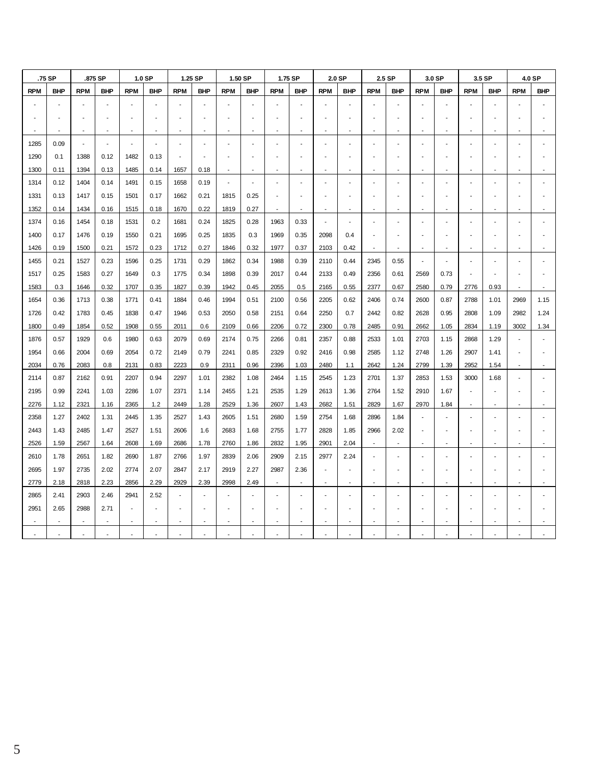|            | .75 SP     |            | .875 SP    |            | 1.0 SP     |                          | 1.25 SP    |                          | 1.50 SP        |            | 1.75 SP        |                          | 2.0 SP     |                          | 2.5 SP                   |                          | 3.0 SP     |            | 3.5 SP         |            | 4.0 SP     |
|------------|------------|------------|------------|------------|------------|--------------------------|------------|--------------------------|----------------|------------|----------------|--------------------------|------------|--------------------------|--------------------------|--------------------------|------------|------------|----------------|------------|------------|
| <b>RPM</b> | <b>BHP</b> | <b>RPM</b> | <b>BHP</b> | <b>RPM</b> | <b>BHP</b> | <b>RPM</b>               | <b>BHP</b> | <b>RPM</b>               | <b>BHP</b>     | <b>RPM</b> | <b>BHP</b>     | <b>RPM</b>               | <b>BHP</b> | <b>RPM</b>               | <b>BHP</b>               | <b>RPM</b>               | <b>BHP</b> | <b>RPM</b> | <b>BHP</b>     | <b>RPM</b> | <b>BHP</b> |
|            |            |            |            |            |            |                          |            |                          |                |            |                |                          |            |                          |                          |                          |            |            |                |            |            |
|            |            |            |            |            |            |                          |            |                          |                |            |                |                          |            |                          |                          |                          |            |            |                |            |            |
|            |            |            |            |            |            |                          |            |                          |                |            |                |                          |            |                          |                          |                          |            |            |                |            |            |
| 1285       | 0.09       | $\sim$     | ÷,         |            |            |                          |            |                          |                |            |                |                          |            |                          |                          |                          |            |            | Ĭ.             |            |            |
| 1290       | 0.1        | 1388       | 0.12       | 1482       | 0.13       | $\overline{a}$           |            |                          |                |            |                |                          |            |                          |                          |                          |            |            | L,             |            |            |
| 1300       | 0.11       | 1394       | 0.13       | 1485       | 0.14       | 1657                     | 0.18       |                          |                |            |                |                          |            |                          |                          |                          |            |            | L,             |            |            |
| 1314       | 0.12       | 1404       | 0.14       | 1491       | 0.15       | 1658                     | 0.19       | $\overline{\phantom{a}}$ | $\overline{a}$ |            | ÷              |                          |            |                          |                          |                          |            |            | J.             |            |            |
| 1331       | 0.13       | 1417       | 0.15       | 1501       | 0.17       | 1662                     | 0.21       | 1815                     | 0.25           |            |                |                          |            |                          |                          |                          |            |            |                |            |            |
| 1352       | 0.14       | 1434       | 0.16       | 1515       | 0.18       | 1670                     | 0.22       | 1819                     | 0.27           |            |                | $\overline{\phantom{a}}$ |            |                          |                          |                          |            |            |                |            |            |
| 1374       | 0.16       | 1454       | 0.18       | 1531       | 0.2        | 1681                     | 0.24       | 1825                     | 0.28           | 1963       | 0.33           | $\overline{\phantom{a}}$ |            |                          |                          |                          |            |            | ä,             |            |            |
| 1400       | 0.17       | 1476       | 0.19       | 1550       | 0.21       | 1695                     | 0.25       | 1835                     | 0.3            | 1969       | 0.35           | 2098                     | 0.4        |                          |                          |                          |            |            |                |            |            |
| 1426       | 0.19       | 1500       | 0.21       | 1572       | 0.23       | 1712                     | 0.27       | 1846                     | 0.32           | 1977       | 0.37           | 2103                     | 0.42       |                          | $\overline{\phantom{a}}$ | $\overline{\phantom{a}}$ |            |            | $\overline{a}$ |            |            |
| 1455       | 0.21       | 1527       | 0.23       | 1596       | 0.25       | 1731                     | 0.29       | 1862                     | 0.34           | 1988       | 0.39           | 2110                     | 0.44       | 2345                     | 0.55                     | $\overline{\phantom{a}}$ |            |            | $\overline{a}$ |            |            |
| 1517       | 0.25       | 1583       | 0.27       | 1649       | 0.3        | 1775                     | 0.34       | 1898                     | 0.39           | 2017       | 0.44           | 2133                     | 0.49       | 2356                     | 0.61                     | 2569                     | 0.73       |            |                |            |            |
| 1583       | 0.3        | 1646       | 0.32       | 1707       | 0.35       | 1827                     | 0.39       | 1942                     | 0.45           | 2055       | 0.5            | 2165                     | 0.55       | 2377                     | 0.67                     | 2580                     | 0.79       | 2776       | 0.93           |            |            |
| 1654       | 0.36       | 1713       | 0.38       | 1771       | 0.41       | 1884                     | 0.46       | 1994                     | 0.51           | 2100       | 0.56           | 2205                     | 0.62       | 2406                     | 0.74                     | 2600                     | 0.87       | 2788       | 1.01           | 2969       | 1.15       |
| 1726       | 0.42       | 1783       | 0.45       | 1838       | 0.47       | 1946                     | 0.53       | 2050                     | 0.58           | 2151       | 0.64           | 2250                     | 0.7        | 2442                     | 0.82                     | 2628                     | 0.95       | 2808       | 1.09           | 2982       | 1.24       |
| 1800       | 0.49       | 1854       | 0.52       | 1908       | 0.55       | 2011                     | 0.6        | 2109                     | 0.66           | 2206       | 0.72           | 2300                     | 0.78       | 2485                     | 0.91                     | 2662                     | 1.05       | 2834       | 1.19           | 3002       | 1.34       |
| 1876       | 0.57       | 1929       | 0.6        | 1980       | 0.63       | 2079                     | 0.69       | 2174                     | 0.75           | 2266       | 0.81           | 2357                     | 0.88       | 2533                     | 1.01                     | 2703                     | 1.15       | 2868       | 1.29           |            |            |
| 1954       | 0.66       | 2004       | 0.69       | 2054       | 0.72       | 2149                     | 0.79       | 2241                     | 0.85           | 2329       | 0.92           | 2416                     | 0.98       | 2585                     | 1.12                     | 2748                     | 1.26       | 2907       | 1.41           |            |            |
| 2034       | 0.76       | 2083       | 0.8        | 2131       | 0.83       | 2223                     | 0.9        | 2311                     | 0.96           | 2396       | 1.03           | 2480                     | 1.1        | 2642                     | 1.24                     | 2799                     | 1.39       | 2952       | 1.54           |            |            |
| 2114       | 0.87       | 2162       | 0.91       | 2207       | 0.94       | 2297                     | 1.01       | 2382                     | 1.08           | 2464       | 1.15           | 2545                     | 1.23       | 2701                     | 1.37                     | 2853                     | 1.53       | 3000       | 1.68           |            |            |
| 2195       | 0.99       | 2241       | 1.03       | 2286       | 1.07       | 2371                     | 1.14       | 2455                     | 1.21           | 2535       | 1.29           | 2613                     | 1.36       | 2764                     | 1.52                     | 2910                     | 1.67       |            | L,             |            |            |
| 2276       | 1.12       | 2321       | 1.16       | 2365       | 1.2        | 2449                     | 1.28       | 2529                     | 1.36           | 2607       | 1.43           | 2682                     | 1.51       | 2829                     | 1.67                     | 2970                     | 1.84       |            |                |            |            |
| 2358       | 1.27       | 2402       | 1.31       | 2445       | 1.35       | 2527                     | 1.43       | 2605                     | 1.51           | 2680       | 1.59           | 2754                     | 1.68       | 2896                     | 1.84                     | $\overline{\phantom{a}}$ |            |            | L,             |            |            |
| 2443       | 1.43       | 2485       | 1.47       | 2527       | 1.51       | 2606                     | 1.6        | 2683                     | 1.68           | 2755       | 1.77           | 2828                     | 1.85       | 2966                     | 2.02                     | ÷,                       |            |            |                |            |            |
| 2526       | 1.59       | 2567       | 1.64       | 2608       | 1.69       | 2686                     | 1.78       | 2760                     | 1.86           | 2832       | 1.95           | 2901                     | 2.04       | $\overline{\phantom{a}}$ | $\overline{\phantom{a}}$ | $\blacksquare$           |            |            | L,             |            |            |
| 2610       | 1.78       | 2651       | 1.82       | 2690       | 1.87       | 2766                     | 1.97       | 2839                     | 2.06           | 2909       | 2.15           | 2977                     | 2.24       |                          |                          |                          |            |            |                |            |            |
| 2695       | 1.97       | 2735       | 2.02       | 2774       | 2.07       | 2847                     | 2.17       | 2919                     | 2.27           | 2987       | 2.36           |                          |            |                          |                          |                          |            |            |                |            |            |
| 2779       | 2.18       | 2818       | 2.23       | 2856       | 2.29       | 2929                     | 2.39       | 2998                     | 2.49           |            | $\overline{a}$ | $\overline{\phantom{a}}$ |            |                          |                          |                          |            |            |                |            |            |
| 2865       | 2.41       | 2903       | 2.46       | 2941       | 2.52       | $\overline{\phantom{a}}$ |            |                          |                |            |                |                          |            |                          |                          |                          |            |            |                |            |            |
| 2951       | 2.65       | 2988       | 2.71       |            |            |                          |            |                          |                |            |                |                          |            |                          |                          |                          |            |            |                |            |            |
|            |            |            |            |            |            | $\overline{\phantom{m}}$ |            |                          |                |            |                |                          |            |                          |                          |                          |            |            |                |            |            |
|            |            |            |            |            |            |                          |            |                          |                |            |                |                          |            |                          |                          |                          |            |            |                |            |            |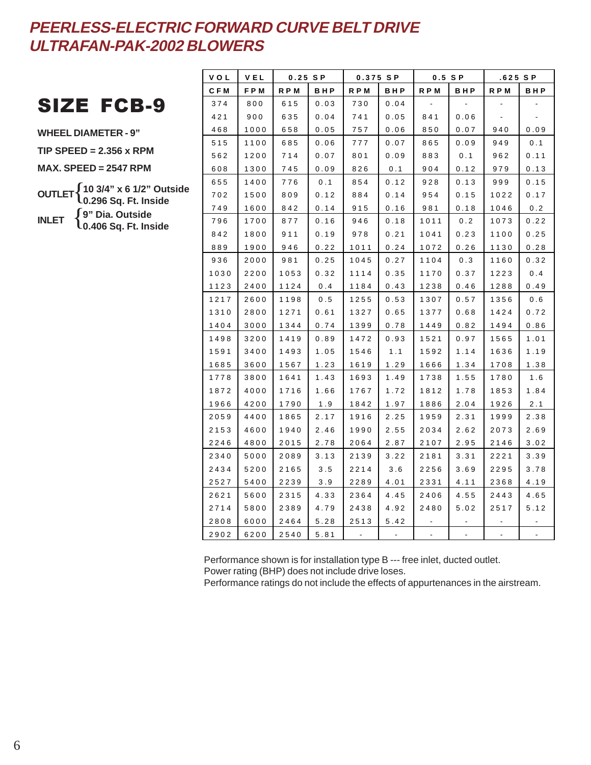## SIZE FCB-9

**WHEEL DIAMETER - 9"**

**TIP SPEED = 2.356 x RPM**

**MAX. SPEED = 2547 RPM**

**OUTLET** { **10 3/4" x 6 1/2" Outside INLET** { **9" Dia. Outside 0.296 Sq. Ft. Inside 0.406 Sq. Ft. Inside**

| <b>VOL</b>   | <b>VEL</b>   | $0.25$ SP    |              |            | 0.375 SP |      | $0.5$ SP | .625 SP |      |
|--------------|--------------|--------------|--------------|------------|----------|------|----------|---------|------|
| <b>CFM</b>   | FPM          | R P M        | BHP          | <b>RPM</b> | BHP      | RPM  | BHP      | R P M   | BHP  |
| 374          | 800          | 615          | 0.03         | 730        | 0.04     |      |          |         |      |
| 421          | 900          | 635          | 0.04         | 741        | 0.05     | 841  | 0.06     |         |      |
| 468          | 1000         | 658          | 0.05         | 757        | 0.06     | 850  | 0.07     | 940     | 0.09 |
| 515          | 1100         | 685          | 0.06         | 777        | 0.07     | 865  | 0.09     | 949     | 0.1  |
| 562          | 1200         | 714          | 0.07         | 801        | 0.09     | 883  | 0.1      | 962     | 0.11 |
| 608          | 1300         | 745          | 0.09         | 826        | 0.1      | 904  | 0.12     | 979     | 0.13 |
| 655          | 1400         | 776          | 0.1          | 854        | 0.12     | 928  | 0.13     | 999     | 0.15 |
| 702          | 1500         | 809          | 0.12         | 884        | 0.14     | 954  | 0.15     | 1022    | 0.17 |
| 749          | 1600         | 842          | 0.14         | 915        | 0.16     | 981  | 0.18     | 1046    | 0.2  |
| 796          | 1700         | 877          | 0.16         | 946        | 0.18     | 1011 | 0.2      | 1073    | 0.22 |
| 842          | 1800         | 911          | 0.19         | 978        | 0.21     | 1041 | 0.23     | 1100    | 0.25 |
| 889          | 1900         | 946          | 0.22         | 1011       | 0.24     | 1072 | $0\,.26$ | 1130    | 0.28 |
| 936          | 2000         | 981          | 0.25         | 1045       | 0.27     | 1104 | 0.3      | 1160    | 0.32 |
| 1030         | 2200         | 1053         | 0.32         | 1114       | 0.35     | 1170 | 0.37     | 1223    | 0.4  |
| 1123         | 2400         | 1124         | 0.4          | 1184       | 0.43     | 1238 | 0.46     | 1288    | 0.49 |
| 1217         | 2600         | 1198         | 0.5          | 1255       | 0.53     | 1307 | 0.57     | 1356    | 0.6  |
| 1310         | 2800         | 1271         | 0.61         | 1327       | 0.65     | 1377 | 0.68     | 1424    | 0.72 |
| 1404         | 3000         | 1344         | 0.74         | 1399       | 0.78     | 1449 | 0.82     | 1494    | 0.86 |
| 1498         | 3200         | 1419         | 0.89         | 1472       | 0.93     | 1521 | 0.97     | 1565    | 1.01 |
| 1591         | 3400         | 1493         | 1.05         | 1546       | 1.1      | 1592 | 1.14     | 1636    | 1.19 |
| 1685         | 3600         | 1567         | 1.23         | 1619       | 1.29     | 1666 | 1.34     | 1708    | 1.38 |
| 1778         | 3800         | 1641         | 1.43         | 1693       | 1.49     | 1738 | 1.55     | 1780    | 1.6  |
| 1872         | 4000         | 1716         | 1.66         | 1767       | 1.72     | 1812 | 1.78     | 1853    | 1.84 |
| 1966         | 4200         | 1790         | 1.9          | 1842       | 1.97     | 1886 | 2.04     | 1926    | 2.1  |
| 2059         | 4400         | 1865         | 2.17         | 1916       | 2.25     | 1959 | 2.31     | 1999    | 2.38 |
| 2153         | 4600         | 1940         | 2.46         | 1990       | 2.55     | 2034 | 2.62     | 2073    | 2.69 |
| 2246         | 4800         | 2015         | 2.78         | 2064       | 2.87     | 2107 | 2.95     | 2146    | 3.02 |
| 2340         | 5000         | 2089         | 3.13         | 2139       | 3.22     | 2181 | 3.31     | 2221    | 3.39 |
| 2434         | 5200         | 2165         | 3.5          | 2214       | 3.6      | 2256 | 3.69     | 2295    | 3.78 |
| 2527         | 5400         | 2239         | 3.9          | 2289       | 4.01     | 2331 | 4.11     | 2368    | 4.19 |
| 2621         | 5600         | 2315         | 4.33         | 2364       | 4.45     | 2406 | 4.55     | 2443    | 4.65 |
| 2714         | 5800         | 2389         | 4.79         | 2438       | 4.92     | 2480 | 5.02     | 2517    | 5.12 |
| 2808<br>2902 | 6000<br>6200 | 2464<br>2540 | 5.28<br>5.81 | 2513       | 5.42     |      |          |         |      |
|              |              |              |              |            |          |      |          |         |      |

Performance shown is for installation type B --- free inlet, ducted outlet. Power rating (BHP) does not include drive loses.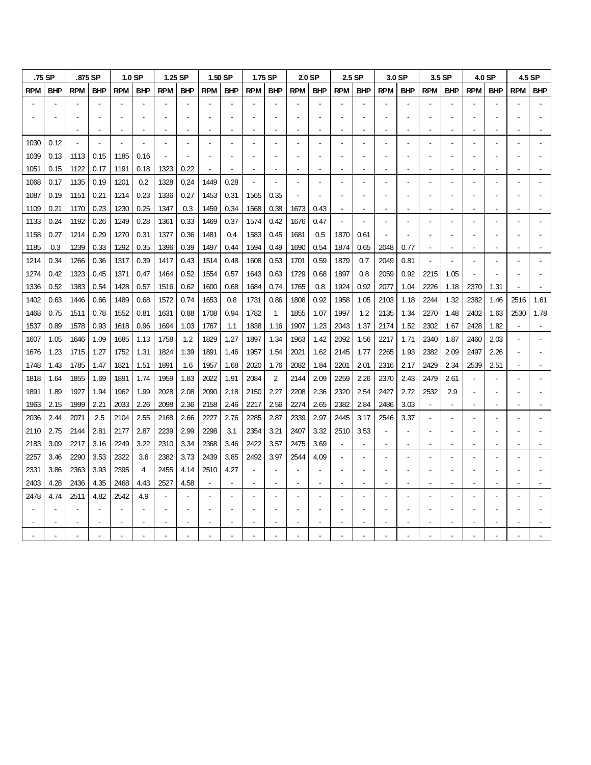|            | .75 SP     |            | .875 SP    |            | 1.0 <sub>SP</sub> |            | 1.25 SP    |            | 1.50 SP    |            | 1.75 SP        |            | 2.0 SP         |            | 2.5 SP                   |            | 3.0 SP     |            | 3.5 SP     |            | 4.0 SP     |            | 4.5 SP     |
|------------|------------|------------|------------|------------|-------------------|------------|------------|------------|------------|------------|----------------|------------|----------------|------------|--------------------------|------------|------------|------------|------------|------------|------------|------------|------------|
| <b>RPM</b> | <b>BHP</b> | <b>RPM</b> | <b>BHP</b> | <b>RPM</b> | <b>BHP</b>        | <b>RPM</b> | <b>BHP</b> | <b>RPM</b> | <b>BHP</b> | <b>RPM</b> | <b>BHP</b>     | <b>RPM</b> | <b>BHP</b>     | <b>RPM</b> | <b>BHP</b>               | <b>RPM</b> | <b>BHP</b> | <b>RPM</b> | <b>BHP</b> | <b>RPM</b> | <b>BHP</b> | <b>RPM</b> | <b>BHP</b> |
|            |            |            |            |            |                   |            |            |            |            |            |                |            |                |            |                          |            |            |            |            |            |            |            |            |
|            |            |            |            |            |                   |            |            |            |            |            |                |            |                |            |                          |            |            |            |            |            |            |            |            |
|            |            |            |            |            |                   |            |            |            |            |            |                |            |                |            |                          |            |            |            |            |            |            |            |            |
| 1030       | 0.12       |            |            |            |                   |            |            |            |            |            |                |            |                |            |                          |            |            |            |            |            |            |            |            |
| 1039       | 0.13       | 1113       | 0.15       | 1185       | 0.16              |            |            |            |            |            |                |            |                |            |                          |            |            |            |            |            |            |            |            |
| 1051       | 0.15       | 1122       | 0.17       | 1191       | 0.18              | 1323       | 0.22       |            |            |            |                |            |                |            |                          |            |            |            |            |            |            |            |            |
| 1068       | 0.17       | 1135       | 0.19       | 1201       | 0.2               | 1328       | 0.24       | 1449       | 0.28       |            |                |            |                |            |                          |            |            |            |            |            |            |            |            |
| 1087       | 0.19       | 1151       | 0.21       | 1214       | 0.23              | 1336       | 0.27       | 1453       | 0.31       | 1565       | 0.35           |            |                |            |                          |            |            |            |            |            |            |            |            |
| 1109       | 0.21       | 1170       | 0.23       | 1230       | 0.25              | 1347       | 0.3        | 1459       | 0.34       | 1568       | 0.38           | 1673       | 0.43           |            |                          |            |            |            |            |            |            |            |            |
| 1133       | 0.24       | 1192       | 0.26       | 1249       | 0.28              | 1361       | 0.33       | 1469       | 0.37       | 1574       | 0.42           | 1676       | 0.47           |            |                          |            |            |            |            |            |            |            |            |
| 1158       | 0.27       | 1214       | 0.29       | 1270       | 0.31              | 1377       | 0.36       | 1481       | 0.4        | 1583       | 0.45           | 1681       | 0.5            | 1870       | 0.61                     |            |            |            |            |            |            |            |            |
| 1185       | 0.3        | 1239       | 0.33       | 1292       | 0.35              | 1396       | 0.39       | 1497       | 0.44       | 1594       | 0.49           | 1690       | 0.54           | 1874       | 0.65                     | 2048       | 0.77       |            |            |            |            |            |            |
| 1214       | 0.34       | 1266       | 0.36       | 1317       | 0.39              | 1417       | 0.43       | 1514       | 0.48       | 1608       | 0.53           | 1701       | 0.59           | 1879       | 0.7                      | 2049       | 0.81       |            |            |            |            |            |            |
| 1274       | 0.42       | 1323       | 0.45       | 1371       | 0.47              | 1464       | 0.52       | 1554       | 0.57       | 1643       | 0.63           | 1729       | 0.68           | 1897       | 0.8                      | 2059       | 0.92       | 2215       | 1.05       |            |            |            |            |
| 1336       | 0.52       | 1383       | 0.54       | 1428       | 0.57              | 1516       | 0.62       | 1600       | 0.68       | 1684       | 0.74           | 1765       | 0.8            | 1924       | 0.92                     | 2077       | 1.04       | 2226       | 1.18       | 2370       | 1.31       |            |            |
| 1402       | 0.63       | 1446       | 0.66       | 1489       | 0.68              | 1572       | 0.74       | 1653       | 0.8        | 1731       | 0.86           | 1808       | 0.92           | 1958       | 1.05                     | 2103       | 1.18       | 2244       | 1.32       | 2382       | 1.46       | 2516       | 1.61       |
| 1468       | 0.75       | 1511       | 0.78       | 1552       | 0.81              | 1631       | 0.88       | 1708       | 0.94       | 1782       | $\mathbf{1}$   | 1855       | 1.07           | 1997       | 1.2                      | 2135       | 1.34       | 2270       | 1.48       | 2402       | 1.63       | 2530       | 1.78       |
| 1537       | 0.89       | 1578       | 0.93       | 1618       | 0.96              | 1694       | 1.03       | 1767       | 1.1        | 1838       | 1.16           | 1907       | 1.23           | 2043       | 1.37                     | 2174       | 1.52       | 2302       | 1.67       | 2428       | 1.82       |            |            |
| 1607       | 1.05       | 1646       | 1.09       | 1685       | 1.13              | 1758       | 1.2        | 1829       | 1.27       | 1897       | 1.34           | 1963       | 1.42           | 2092       | 1.56                     | 2217       | 1.71       | 2340       | 1.87       | 2460       | 2.03       |            |            |
| 1676       | 1.23       | 1715       | 1.27       | 1752       | 1.31              | 1824       | 1.39       | 1891       | 1.46       | 1957       | 1.54           | 2021       | 1.62           | 2145       | 1.77                     | 2265       | 1.93       | 2382       | 2.09       | 2497       | 2.26       |            |            |
| 1748       | 1.43       | 1785       | 1.47       | 1821       | 1.51              | 1891       | 1.6        | 1957       | 1.68       | 2020       | 1.76           | 2082       | 1.84           | 2201       | 2.01                     | 2316       | 2.17       | 2429       | 2.34       | 2539       | 2.51       |            |            |
| 1818       | 1.64       | 1855       | 1.69       | 1891       | 1.74              | 1959       | 1.83       | 2022       | 1.91       | 2084       | $\overline{2}$ | 2144       | 2.09           | 2259       | 2.26                     | 2370       | 2.43       | 2479       | 2.61       |            |            |            |            |
| 1891       | 1.89       | 1927       | 1.94       | 1962       | 1.99              | 2028       | 2.08       | 2090       | 2.18       | 2150       | 2.27           | 2208       | 2.36           | 2320       | 2.54                     | 2427       | 2.72       | 2532       | 2.9        |            |            |            |            |
| 1963       | 2.15       | 1999       | 2.21       | 2033       | 2.26              | 2098       | 2.36       | 2158       | 2.46       | 2217       | 2.56           | 2274       | 2.65           | 2382       | 2.84                     | 2486       | 3.03       |            |            |            |            |            |            |
| 2036       | 2.44       | 2071       | 2.5        | 2104       | 2.55              | 2168       | 2.66       | 2227       | 2.76       | 2285       | 2.87           | 2339       | 2.97           | 2445       | 3.17                     | 2546       | 3.37       |            |            |            |            |            |            |
| 2110       | 2.75       | 2144       | 2.81       | 2177       | 2.87              | 2239       | 2.99       | 2298       | 3.1        | 2354       | 3.21           | 2407       | 3.32           | 2510       | 3.53                     |            |            |            |            |            |            |            |            |
| 2183       | 3.09       | 2217       | 3.16       | 2249       | 3.22              | 2310       | 3.34       | 2368       | 3.46       | 2422       | 3.57           | 2475       | 3.69           |            | $\overline{\phantom{a}}$ |            |            |            |            |            |            |            |            |
| 2257       | 3.46       | 2290       | 3.53       | 2322       | 3.6               | 2382       | 3.73       | 2439       | 3.85       | 2492       | 3.97           | 2544       | 4.09           |            |                          |            |            |            |            |            |            |            |            |
| 2331       | 3.86       | 2363       | 3.93       | 2395       | 4                 | 2455       | 4.14       | 2510       | 4.27       |            |                |            |                |            |                          |            |            |            |            |            |            |            |            |
| 2403       | 4.28       | 2436       | 4.35       | 2468       | 4.43              | 2527       | 4.58       |            |            |            |                |            | $\blacksquare$ |            |                          |            |            |            |            |            |            |            |            |
| 2478       | 4.74       | 2511       | 4.82       | 2542       | 4.9               |            |            |            |            |            |                |            |                |            |                          |            |            |            |            |            |            |            |            |
|            |            |            |            |            |                   |            |            |            |            |            |                |            |                |            |                          |            |            |            |            |            |            |            |            |
|            |            |            |            |            |                   |            |            |            |            |            |                |            |                |            |                          |            |            |            |            |            |            |            |            |
|            |            |            |            |            |                   |            |            |            |            |            |                |            |                |            |                          |            |            |            |            |            |            |            |            |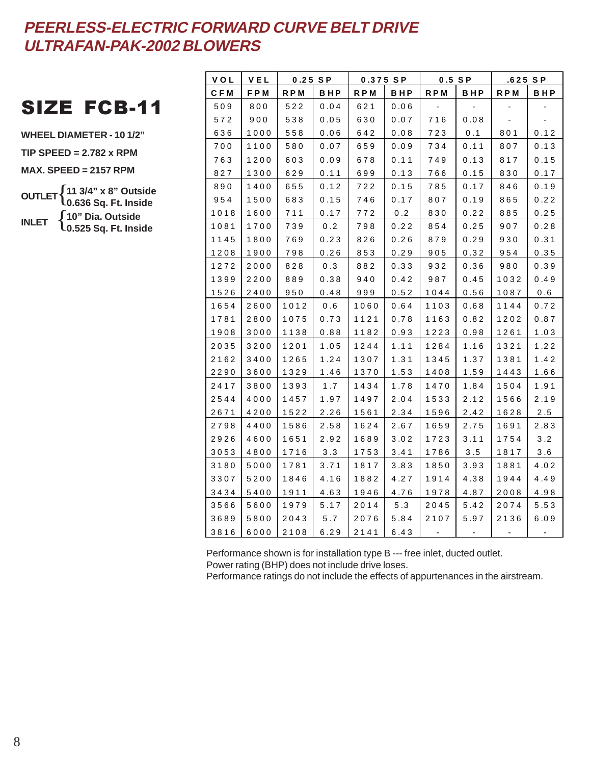## SIZE FCB-11

**WHEEL DIAMETER - 10 1/2" TIP SPEED = 2.782 x RPM MAX. SPEED = 2157 RPM OUTLET** { **11 3/4" x 8" Outside INLET** { **10" Dia. Outside 0.636 Sq. Ft. Inside 0.525 Sq. Ft. Inside**

| V O L | VEL  | $0.25$ SP  |        | 0.375 SP |        | $0.5$ SP   |            | .625 SP                  |        |
|-------|------|------------|--------|----------|--------|------------|------------|--------------------------|--------|
| C F M | FPM  | <b>RPM</b> | BHP    | R P M    | BHP    | <b>RPM</b> | <b>BHP</b> | R P M                    | BHP    |
| 509   | 800  | 522        | 0.04   | 621      | 0.06   |            |            |                          |        |
| 572   | 900  | 538        | 0.05   | 630      | 0.07   | 716        | 0.08       | $\overline{\phantom{a}}$ |        |
| 636   | 1000 | 558        | 0.06   | 642      | 0.08   | 723        | 0.1        | 801                      | 0.12   |
| 700   | 1100 | 580        | 0.07   | 659      | 0.09   | 734        | 0.11       | 807                      | 0.13   |
| 763   | 1200 | 603        | 0.09   | 678      | 0.11   | 749        | 0.13       | 817                      | 0.15   |
| 827   | 1300 | 629        | 0.11   | 699      | 0.13   | 766        | 0.15       | 830                      | 0.17   |
| 890   | 1400 | 655        | 0.12   | 722      | 0.15   | 785        | 0.17       | 846                      | 0.19   |
| 954   | 1500 | 683        | 0.15   | 746      | 0.17   | 807        | 0.19       | 865                      | 0.22   |
| 1018  | 1600 | 711        | 0.17   | 772      | 0.2    | 830        | $0.22$     | 885                      | $0.25$ |
| 1081  | 1700 | 739        | 0.2    | 798      | 0.22   | 854        | 0.25       | 907                      | 0.28   |
| 1145  | 1800 | 769        | 0.23   | 826      | 0.26   | 879        | 0.29       | 930                      | 0.31   |
| 1208  | 1900 | 798        | 0.26   | 853      | $0.29$ | 905        | $0.32\,$   | 954                      | 0.35   |
| 1272  | 2000 | 828        | 0.3    | 882      | 0.33   | 932        | 0.36       | 980                      | 0.39   |
| 1399  | 2200 | 889        | 0.38   | 940      | 0.42   | 987        | 0.45       | 1032                     | 0.49   |
| 1526  | 2400 | 950        | 0.48   | 999      | 0.52   | 1044       | 0.56       | 1087                     | 0.6    |
| 1654  | 2600 | 1012       | 0.6    | 1060     | 0.64   | 1103       | 0.68       | 1144                     | 0.72   |
| 1781  | 2800 | 1075       | 0.73   | 1121     | 0.78   | 1163       | 0.82       | 1202                     | 0.87   |
| 1908  | 3000 | 1138       | 0.88   | 1182     | 0.93   | 1223       | 0.98       | 1261                     | 1.03   |
| 2035  | 3200 | 1201       | $1.05$ | 1244     | 1.11   | 1284       | 1.16       | 1321                     | 1.22   |
| 2162  | 3400 | 1265       | 1.24   | 1307     | 1.31   | 1345       | 1.37       | 1381                     | 1.42   |
| 2290  | 3600 | 1329       | 1.46   | 1370     | 1.53   | 1408       | 1.59       | 1443                     | 1.66   |
| 2417  | 3800 | 1393       | 1.7    | 1434     | 1.78   | 1470       | 1.84       | 1504                     | 1.91   |
| 2544  | 4000 | 1457       | 1.97   | 1497     | 2.04   | 1533       | 2.12       | 1566                     | 2.19   |
| 2671  | 4200 | 1522       | 2.26   | 1561     | 2.34   | 1596       | $2.42$     | 1628                     | $2.5$  |
| 2798  | 4400 | 1586       | 2.58   | 1624     | 2.67   | 1659       | 2.75       | 1691                     | 2.83   |
| 2926  | 4600 | 1651       | 2.92   | 1689     | 3.02   | 1723       | 3.11       | 1754                     | 3.2    |
| 3053  | 4800 | 1716       | 3.3    | 1753     | 3.41   | 1786       | 3.5        | 1817                     | 3.6    |
| 3180  | 5000 | 1781       | 3.71   | 1817     | 3.83   | 1850       | 3.93       | 1881                     | 4.02   |
| 3307  | 5200 | 1846       | $4.16$ | 1882     | 4.27   | 1914       | 4.38       | 1944                     | 4.49   |
| 3434  | 5400 | 1911       | 4.63   | 1946     | 4.76   | 1978       | 4.87       | 2008                     | 4.98   |
| 3566  | 5600 | 1979       | 5.17   | 2014     | 5.3    | 2045       | 5.42       | 2074                     | 5.53   |
| 3689  | 5800 | 2043       | 5.7    | 2076     | 5.84   | 2107       | 5.97       | 2136                     | 6.09   |
| 3816  | 6000 | 2108       | 6.29   | 2141     | 6.43   |            |            |                          |        |

Performance shown is for installation type B --- free inlet, ducted outlet. Power rating (BHP) does not include drive loses.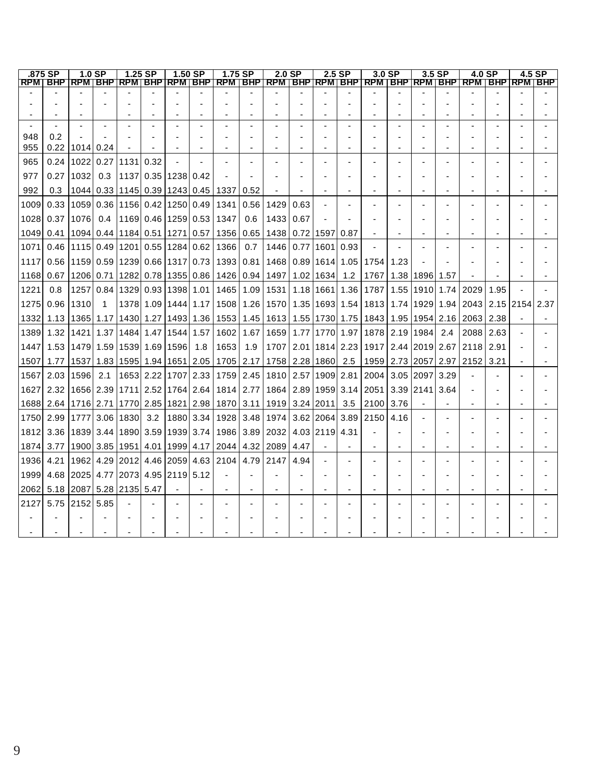|            | .875 SP   | $1.0$ SP             |                | $1.25$ SP                                      |      | $1.50$ SP                 |     | 1.75 SP                                                                                                              |      | 2.0 <sub>SP</sub>                |      | 2.5 SP             |      | 3.0 <sub>SP</sub>                |           | $3.5$ SP                         |      | 4.0 SP                    |      | 4.5 SP |
|------------|-----------|----------------------|----------------|------------------------------------------------|------|---------------------------|-----|----------------------------------------------------------------------------------------------------------------------|------|----------------------------------|------|--------------------|------|----------------------------------|-----------|----------------------------------|------|---------------------------|------|--------|
|            |           |                      |                |                                                |      |                           |     | <u>RPMT BHP  RPMTBHP  RPMTBHP  RPMTBHP   RPMTBHP   RPMTBHP   RPMTBHP   RPMTBHP   RPMTBHP   RPMTBHP   RPMTBHP   R</u> |      |                                  |      |                    |      |                                  |           |                                  |      |                           |      |        |
|            |           |                      |                |                                                |      |                           |     |                                                                                                                      |      |                                  |      |                    |      |                                  |           |                                  |      |                           |      |        |
|            |           |                      |                |                                                |      |                           |     |                                                                                                                      |      |                                  |      |                    |      |                                  |           |                                  |      |                           |      |        |
|            |           |                      |                |                                                |      |                           |     |                                                                                                                      |      |                                  |      |                    |      |                                  |           |                                  |      |                           |      |        |
| 948        | 0.2       |                      |                |                                                |      |                           |     |                                                                                                                      |      |                                  |      |                    |      |                                  |           |                                  |      |                           |      |        |
| 955        |           | $0.22$   1014   0.24 |                |                                                |      |                           |     |                                                                                                                      |      |                                  |      |                    |      |                                  |           |                                  |      |                           |      |        |
|            |           |                      |                | 0.24   1022   0.27   1131                      |      |                           |     |                                                                                                                      |      |                                  |      |                    |      |                                  |           |                                  |      |                           |      |        |
| 965<br>977 |           | $0.27$   1032        | 0.3            |                                                | 0.32 | 1137 0.35 1238 0.42       |     |                                                                                                                      |      |                                  |      |                    |      |                                  |           |                                  |      |                           |      |        |
|            |           |                      |                |                                                |      |                           |     |                                                                                                                      |      |                                  |      |                    |      |                                  |           |                                  |      |                           |      |        |
| 992        | 0.3       |                      |                | 1044 0.33 1145 0.39 1243 0.45                  |      |                           |     | 1337                                                                                                                 | 0.52 |                                  |      |                    |      |                                  |           |                                  |      |                           |      |        |
| 1009       | 0.33      | 1059                 | 0.36           |                                                |      | 1156  0.42  1250  0.49    |     | 1341                                                                                                                 | 0.56 | 1429                             | 0.63 |                    |      |                                  |           |                                  |      |                           |      |        |
| 1028       | 0.37      | 1076                 | 0.4            |                                                |      | 1169 0.46 1259 0.53       |     | 1347                                                                                                                 | 0.6  | 1433                             | 0.67 |                    |      |                                  |           |                                  |      |                           |      |        |
| 1049       |           |                      |                | 0.41   1094   0.44   1184   0.51   1271   0.57 |      |                           |     | 1356                                                                                                                 |      | 0.65   1438   0.72   1597        |      |                    | 0.87 |                                  |           |                                  |      |                           |      |        |
| 1071       | 0.46      | 1115 0.49            |                | 1201 0.55 1284 0.62                            |      |                           |     | 1366                                                                                                                 | 0.7  | 1446                             |      | 0.77 1601          | 0.93 |                                  |           |                                  |      |                           |      |        |
| 1117       |           |                      |                | 0.56   1159   0.59   1239   0.66   1317   0.73 |      |                           |     | 1393                                                                                                                 |      | 0.81   1468   0.89   1614   1.05 |      |                    |      | 1754                             | 1.23      |                                  |      |                           |      |        |
| 1168       | 0.67      |                      |                |                                                |      |                           |     | 1206 0.71   1282   0.78   1355   0.86   1426   0.94   1497                                                           |      |                                  |      | 1.02 1634          | 1.2  | 1767                             |           | 1.38   1896   1.57               |      |                           |      |        |
| 1221       | 0.8       | 1257                 | 0.84           |                                                |      | 1329 0.93 1398 1.01       |     | 1465                                                                                                                 | 1.09 | 1531                             |      | 1.18   1661        | 1.36 | 1787                             |           | 1.55   1910   1.74               |      | 2029                      | 1.95 |        |
| 1275       | 0.96      | 1310                 | $\overline{1}$ |                                                |      | 1378 1.09 1444 1.17       |     | 1508                                                                                                                 |      | $1.26$   1570                    |      | 1.35   1693   1.54 |      | 1813                             |           | 1.74   1929   1.94               |      | 2043   2.15   2154   2.37 |      |        |
| 1332       | 1.13      |                      | 1365   1.17    |                                                |      | 1430  1.27   1493  1.36   |     | 1553                                                                                                                 | 1.45 | 1613                             |      | 1.55   1730   1.75 |      | 1843                             |           | 1.95   1954   2.16               |      | 2063                      | 2.38 |        |
| 1389       | 1.32      |                      | 1421 1.37      |                                                |      | 1484 1.47 1544 1.57       |     | 1602                                                                                                                 | 1.67 | 1659                             |      | 1.77   1770   1.97 |      | 1878                             |           | 2.19   1984                      | 2.4  | 2088                      | 2.63 |        |
| 1447       |           |                      |                | 1.53  1479  1.59  1539  1.69  1596             |      |                           | 1.8 | 1653                                                                                                                 | 1.9  | 1707                             |      | 2.01   1814   2.23 |      | 1917                             |           | 2.44 2019 2.67                   |      | 2118                      | 2.91 |        |
| 1507       | 1.771     |                      |                | 1537   1.83   1595   1.94   1651   2.05        |      |                           |     |                                                                                                                      |      | 1705 2.17 1758 2.28 1860 2.5     |      |                    |      |                                  |           | 1959   2.73   2057   2.97   2152 |      |                           | 3.21 |        |
| 1567       | 2.03      | 1596                 | 2.1            |                                                |      | 1653 2.22 1707 2.33       |     | 1759                                                                                                                 | 2.45 | 1810                             |      | 2.57 1909 2.81     |      | 2004                             | 3.05 2097 |                                  | 3.29 |                           |      |        |
| 1627       | 2.32      |                      |                | 1656 2.39 1711 2.52 1764 2.64                  |      |                           |     | 1814                                                                                                                 | 2.77 |                                  |      |                    |      | 1864   2.89   1959   3.14   2051 |           | 3.39 2141                        | 3.64 |                           |      |        |
|            | 1688 2.64 | 1716 2.71            |                |                                                |      | 1770   2.85   1821   2.98 |     | 1870   3.11                                                                                                          |      |                                  |      | 1919 3.24 2011     | 3.5  | 2100                             | 3.76      |                                  |      |                           |      |        |
| 1750       | 2.99      |                      | 1777 3.06      | 1830                                           | 3.2  | 1880  3.34                |     | 1928                                                                                                                 |      | 3.48 1974                        |      | 3.62 2064          | 3.89 | 2150                             | 4.16      |                                  |      |                           |      |        |
| 1812       |           | 3.36 1839 3.44       |                | 11890 3.59 1939 3.74 J                         |      |                           |     | 1986                                                                                                                 |      | 3.89 2032                        |      | 4.03 2119 4.31     |      |                                  |           |                                  |      |                           |      |        |
|            | 1874 3.77 |                      |                |                                                |      |                           |     | 1900 3.85   1951   4.01   1999   4.17   2044                                                                         |      | 4.32 2089                        | 4.47 |                    |      |                                  |           |                                  |      |                           |      |        |
| 1936       | 4.21      |                      | 1962 4.29      |                                                |      |                           |     | 2012 4.46 2059 4.63 2104                                                                                             | 4.79 | 2147                             | 4.94 |                    |      |                                  |           |                                  |      |                           |      |        |
| 1999       |           |                      |                | 4.68 2025 4.77 2073 4.95 2119 5.12             |      |                           |     |                                                                                                                      |      |                                  |      |                    |      |                                  |           |                                  |      |                           |      |        |
| 2062       |           |                      |                | 5.18 2087 5.28 2135 5.47                       |      |                           |     |                                                                                                                      |      |                                  |      |                    |      |                                  |           |                                  |      |                           |      |        |
| 2127       | 5.75      | 2152 5.85            |                |                                                |      |                           |     |                                                                                                                      |      |                                  |      |                    |      |                                  |           |                                  |      |                           |      |        |
|            |           |                      |                |                                                |      |                           |     |                                                                                                                      |      |                                  |      |                    |      |                                  |           |                                  |      |                           |      |        |
|            |           |                      |                |                                                |      |                           |     |                                                                                                                      |      |                                  |      |                    |      |                                  |           |                                  |      |                           |      |        |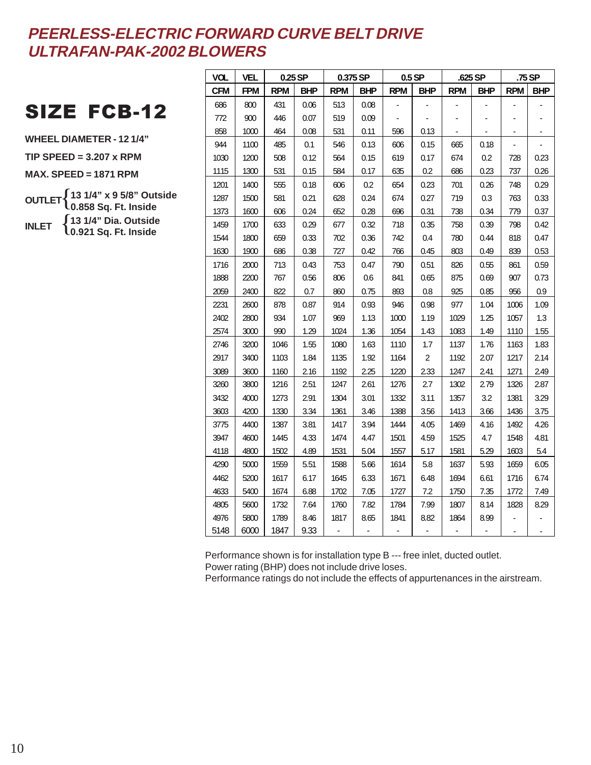## SIZE FCB-12

**WHEEL DIAMETER - 12 1/4"**

**TIP SPEED = 3.207 x RPM**

**MAX. SPEED = 1871 RPM**

**OUTLET** { **13 1/4" x 9 5/8" Outside INLET** { **13 1/4" Dia. Outside 0.858 Sq. Ft. Inside 0.921 Sq. Ft. Inside**

| <b>VOL</b> | VEL        | 0.25 SP    |            | 0.375 SP   |      |            | 0.5 SP           | .625 SP    |            |            | .75 SP     |
|------------|------------|------------|------------|------------|------|------------|------------------|------------|------------|------------|------------|
| <b>CFM</b> | <b>FPM</b> | <b>RPM</b> | <b>BHP</b> | <b>RPM</b> | BHP  | <b>RPM</b> | <b>BHP</b>       | <b>RPM</b> | <b>BHP</b> | <b>RPM</b> | <b>BHP</b> |
| 686        | 800        | 431        | 0.06       | 513        | 0.08 |            |                  |            |            |            |            |
| 772        | 900        | 446        | 0.07       | 519        | 0.09 |            |                  |            |            |            |            |
| 858        | 1000       | 464        | 0.08       | 531        | 0.11 | 596        | 0.13             |            |            |            |            |
| 944        | 1100       | 485        | 0.1        | 546        | 0.13 | 606        | 0.15             | 665        | 0.18       |            |            |
| 1030       | 1200       | 508        | 0.12       | 564        | 0.15 | 619        | 0.17             | 674        | 0.2        | 728        | 0.23       |
| 1115       | 1300       | 531        | 0.15       | 584        | 0.17 | 635        | 0.2              | 686        | 0.23       | 737        | 0.26       |
| 1201       | 1400       | 555        | 0.18       | 606        | 0.2  | 654        | 0.23             | 701        | 0.26       | 748        | 0.29       |
| 1287       | 1500       | 581        | 0.21       | 628        | 0.24 | 674        | 0.27             | 719        | 0.3        | 763        | 0.33       |
| 1373       | 1600       | 606        | 0.24       | 652        | 0.28 | 696        | 0.31             | 738        | 0.34       | 779        | 0.37       |
| 1459       | 1700       | 633        | 0.29       | 677        | 0.32 | 718        | 0.35             | 758        | 0.39       | 798        | 0.42       |
| 1544       | 1800       | 659        | 0.33       | 702        | 0.36 | 742        | 0.4              | 780        | 0.44       | 818        | 0.47       |
| 1630       | 1900       | 686        | 0.38       | 727        | 0.42 | 766        | 0.45             | 803        | 0.49       | 839        | 0.53       |
| 1716       | 2000       | 713        | 0.43       | 753        | 0.47 | 790        | 0.51             | 826        | 0.55       | 861        | 0.59       |
| 1888       | 2200       | 767        | 0.56       | 806        | 0.6  | 841        | 0.65             | 875        | 0.69       | 907        | 0.73       |
| 2059       | 2400       | 822        | 0.7        | 860        | 0.75 | 893        | 0.8              | 925        | 0.85       | 956        | 0.9        |
| 2231       | 2600       | 878        | 0.87       | 914        | 0.93 | 946        | 0.98             | 977        | 1.04       | 1006       | 1.09       |
| 2402       | 2800       | 934        | 1.07       | 969        | 1.13 | 1000       | 1.19             | 1029       | 1.25       | 1057       | 1.3        |
| 2574       | 3000       | 990        | 1.29       | 1024       | 1.36 | 1054       | 1.43             | 1083       | 1.49       | 1110       | 1.55       |
| 2746       | 3200       | 1046       | 1.55       | 1080       | 1.63 | 1110       | 1.7              | 1137       | 1.76       | 1163       | 1.83       |
| 2917       | 3400       | 1103       | 1.84       | 1135       | 1.92 | 1164       | $\boldsymbol{2}$ | 1192       | 2.07       | 1217       | 2.14       |
| 3089       | 3600       | 1160       | 2.16       | 1192       | 2.25 | 1220       | 2.33             | 1247       | 2.41       | 1271       | 2.49       |
| 3260       | 3800       | 1216       | 2.51       | 1247       | 2.61 | 1276       | 2.7              | 1302       | 2.79       | 1326       | 2.87       |
| 3432       | 4000       | 1273       | 2.91       | 1304       | 3.01 | 1332       | 3.11             | 1357       | 3.2        | 1381       | 3.29       |
| 3603       | 4200       | 1330       | 3.34       | 1361       | 3.46 | 1388       | 3.56             | 1413       | 3.66       | 1436       | 3.75       |
| 3775       | 4400       | 1387       | 3.81       | 1417       | 3.94 | 1444       | 4.05             | 1469       | 4.16       | 1492       | 4.26       |
| 3947       | 4600       | 1445       | 4.33       | 1474       | 4.47 | 1501       | 4.59             | 1525       | 4.7        | 1548       | 4.81       |
| 4118       | 4800       | 1502       | 4.89       | 1531       | 5.04 | 1557       | 5.17             | 1581       | 5.29       | 1603       | 5.4        |
| 4290       | 5000       | 1559       | 5.51       | 1588       | 5.66 | 1614       | 5.8              | 1637       | 5.93       | 1659       | 6.05       |
| 4462       | 5200       | 1617       | 6.17       | 1645       | 6.33 | 1671       | 6.48             | 1694       | 6.61       | 1716       | 6.74       |
| 4633       | 5400       | 1674       | 6.88       | 1702       | 7.05 | 1727       | 7.2              | 1750       | 7.35       | 1772       | 7.49       |
| 4805       | 5600       | 1732       | 7.64       | 1760       | 7.82 | 1784       | 7.99             | 1807       | 8.14       | 1828       | 8.29       |
| 4976       | 5800       | 1789       | 8.46       | 1817       | 8.65 | 1841       | 8.82             | 1864       | 8.99       |            |            |
| 5148       | 6000       | 1847       | 9.33       |            |      |            |                  |            |            |            |            |

Performance shown is for installation type B --- free inlet, ducted outlet. Power rating (BHP) does not include drive loses.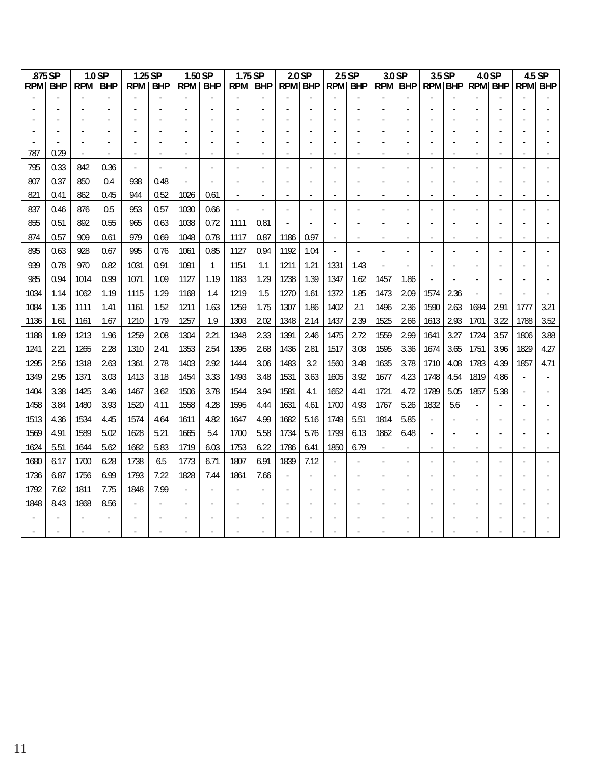|      | .875 SP        |            | 1.0 SP     | 1.25 SP        |                  | 1.50 SP |                  |      | 1.75 SP                           |      | 2.0 <sub>SP</sub>        |      | 2.5 SP | 3.0 SP                                        |                          | 3.5 SP |                          |      | 4.0 SP         |      | 4.5 SP |
|------|----------------|------------|------------|----------------|------------------|---------|------------------|------|-----------------------------------|------|--------------------------|------|--------|-----------------------------------------------|--------------------------|--------|--------------------------|------|----------------|------|--------|
|      | <b>RPM BHP</b> | <b>RPM</b> | <b>BHP</b> |                | <b>RPM   BHP</b> |         | <b>RPM   BHP</b> |      | RPM   BHP   RPM   BHP   RPM   BHP |      |                          |      |        | RPM   BHP   RPM   BHP   RPM   BHP   RPM   BHP |                          |        |                          |      |                |      |        |
|      |                |            |            |                |                  |         |                  |      |                                   |      |                          |      |        |                                               |                          |        |                          |      |                |      |        |
|      |                |            |            |                |                  |         |                  |      |                                   |      |                          |      |        |                                               |                          |        |                          |      |                |      |        |
|      |                |            |            |                |                  |         |                  |      |                                   |      |                          |      |        | ä,                                            |                          |        |                          |      |                |      |        |
|      |                |            |            |                |                  |         |                  |      |                                   |      |                          |      |        |                                               |                          |        |                          |      |                |      |        |
| 787  | 0.29           |            |            | $\blacksquare$ |                  |         | $\blacksquare$   |      | $\overline{\phantom{0}}$          |      | $\overline{\phantom{0}}$ |      |        | $\blacksquare$                                | $\overline{a}$           |        |                          |      |                |      |        |
| 795  | 0.33           | 842        | 0.36       |                |                  |         |                  |      |                                   |      |                          |      |        |                                               |                          |        |                          |      |                |      |        |
| 807  | 0.37           | 850        | 0.4        | 938            | 0.48             |         |                  |      |                                   |      |                          |      |        |                                               |                          |        |                          |      |                |      |        |
| 821  | 0.41           | 862        | 0.45       | 944            | 0.52             | 1026    | 0.61             |      |                                   |      |                          |      |        |                                               |                          |        |                          |      |                |      |        |
| 837  | 0.46           | 876        | 0.5        | 953            | 0.57             | 1030    | 0.66             | ä,   |                                   |      | $\blacksquare$           |      |        | $\blacksquare$                                |                          |        |                          |      |                |      |        |
| 855  | 0.51           | 892        | 0.55       | 965            | 0.63             | 1038    | 0.72             | 1111 | 0.81                              |      |                          |      |        |                                               |                          |        |                          |      |                |      |        |
| 874  | 0.57           | 909        | 0.61       | 979            | 0.69             | 1048    | 0.78             | 1117 | 0.87                              | 1186 | 0.97                     |      |        | $\blacksquare$                                |                          |        |                          |      |                |      |        |
| 895  | 0.63           | 928        | 0.67       | 995            | 0.76             | 1061    | 0.85             | 1127 | 0.94                              | 1192 | 1.04                     |      |        |                                               |                          |        |                          |      |                |      |        |
| 939  | 0.78           | 970        | 0.82       | 1031           | 0.91             | 1091    | 1                | 1151 | 1.1                               | 1211 | 1.21                     | 1331 | 1.43   |                                               |                          |        |                          |      |                |      |        |
| 985  | 0.94           | 1014       | 0.99       | 1071           | 1.09             | 1127    | 1.19             | 1183 | 1.29                              | 1238 | 1.39                     | 1347 | 1.62   | 1457                                          | 1.86                     |        |                          |      |                |      |        |
| 1034 | 1.14           | 1062       | 1.19       | 1115           | 1.29             | 1168    | 1.4              | 1219 | 1.5                               | 1270 | 1.61                     | 1372 | 1.85   | 1473                                          | 2.09                     | 1574   | 2.36                     |      |                |      |        |
| 1084 | 1.36           | 1111       | 1.41       | 1161           | 1.52             | 1211    | 1.63             | 1259 | 1.75                              | 1307 | 1.86                     | 1402 | 2.1    | 1496                                          | 2.36                     | 1590   | 2.63                     | 1684 | 2.91           | 1777 | 3.21   |
| 1136 | 1.61           | 1161       | 1.67       | 1210           | 1.79             | 1257    | 1.9              | 1303 | 2.02                              | 1348 | 2.14                     | 1437 | 2.39   | 1525                                          | 2.66                     | 1613   | 2.93                     | 1701 | 3.22           | 1788 | 3.52   |
| 1188 | 1.89           | 1213       | 1.96       | 1259           | 2.08             | 1304    | 2.21             | 1348 | 2.33                              | 1391 | 2.46                     | 1475 | 2.72   | 1559                                          | 2.99                     | 1641   | 3.27                     | 1724 | 3.57           | 1806 | 3.88   |
| 1241 | 2.21           | 1265       | 2.28       | 1310           | 2.41             | 1353    | 2.54             | 1395 | 2.68                              | 1436 | 2.81                     | 1517 | 3.08   | 1595                                          | 3.36                     | 1674   | 3.65                     | 1751 | 3.96           | 1829 | 4.27   |
| 1295 | 2.56           | 1318       | 2.63       | 1361           | 2.78             | 1403    | 2.92             | 1444 | 3.06                              | 1483 | 3.2                      | 1560 | 3.48   | 1635                                          | 3.78                     | 1710   | 4.08                     | 1783 | 4.39           | 1857 | 4.71   |
| 1349 | 2.95           | 1371       | 3.03       | 1413           | 3.18             | 1454    | 3.33             | 1493 | 3.48                              | 1531 | 3.63                     | 1605 | 3.92   | 1677                                          | 4.23                     | 1748   | 4.54                     | 1819 | 4.86           |      |        |
| 1404 | 3.38           | 1425       | 3.46       | 1467           | 3.62             | 1506    | 3.78             | 1544 | 3.94                              | 1581 | 4.1                      | 1652 | 4.41   | 1721                                          | 4.72                     | 1789   | 5.05                     | 1857 | 5.38           |      |        |
| 1458 | 3.84           | 1480       | 3.93       | 1520           | 4.11             | 1558    | 4.28             | 1595 | 4.44                              | 1631 | 4.61                     | 1700 | 4.93   | 1767                                          | 5.26                     | 1832   | 5.6                      |      |                |      |        |
| 1513 | 4.36           | 1534       | 4.45       | 1574           | 4.64             | 1611    | 4.82             | 1647 | 4.99                              | 1682 | 5.16                     | 1749 | 5.51   | 1814                                          | 5.85                     |        |                          |      |                |      |        |
| 1569 | 4.91           | 1589       | 5.02       | 1628           | 5.21             | 1665    | 5.4              | 1700 | 5.58                              | 1734 | 5.76                     | 1799 | 6.13   | 1862                                          | 6.48                     |        |                          |      |                |      |        |
| 1624 | 5.51           | 1644       | 5.62       | 1682           | 5.83             | 1719    | 6.03             | 1753 | 6.22                              | 1786 | 6.41                     | 1850 | 6.79   | $\overline{\phantom{a}}$                      | $\overline{\phantom{0}}$ |        | $\overline{\phantom{a}}$ |      | $\blacksquare$ |      |        |
| 1680 | 6.17           | 1700       | 6.28       | 1738           | 6.5              | 1773    | 6.71             | 1807 | 6.91                              | 1839 | 7.12                     |      |        |                                               |                          |        |                          |      |                |      |        |
| 1736 | 6.87           | 1756       | 6.99       | 1793           | 7.22             | 1828    | 7.44             | 1861 | 7.66                              |      |                          |      |        |                                               |                          |        |                          |      |                |      |        |
| 1792 | 7.62           | 1811       | 7.75       | 1848           | 7.99             |         |                  |      |                                   |      |                          |      |        |                                               |                          |        |                          |      |                |      |        |
| 1848 | 8.43           | 1868       | 8.56       |                |                  |         |                  |      |                                   |      |                          |      |        |                                               |                          |        |                          |      |                |      |        |
|      |                |            |            |                |                  |         |                  |      |                                   |      |                          |      |        |                                               |                          |        |                          |      |                |      |        |
|      |                |            |            |                |                  |         |                  |      |                                   |      |                          |      |        |                                               |                          |        |                          |      |                |      |        |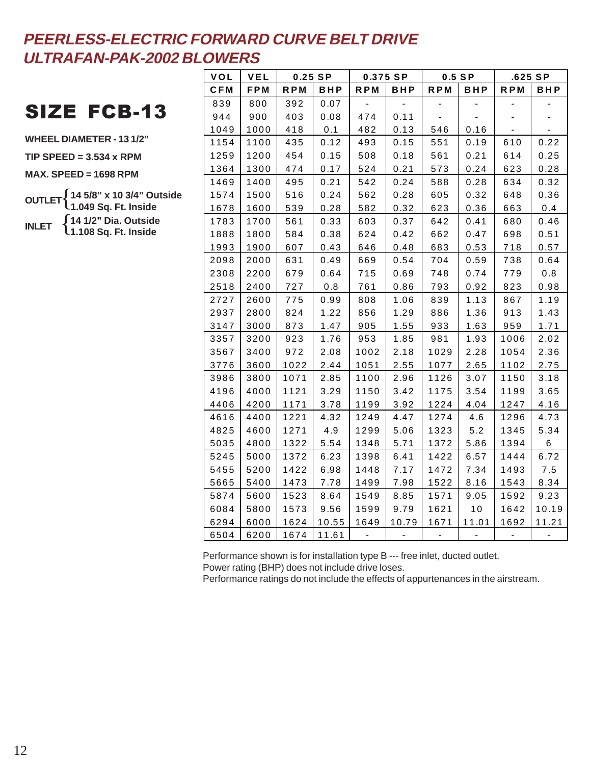## SIZE FCB-13

**WHEEL DIAMETER - 13 1/2"**

**TIP SPEED = 3.534 x RPM**

**MAX. SPEED = 1698 RPM**

**OUTLET INLET**  $\cdot \{$ { **14 5/8" x 10 3/4" Outside 1.049 Sq. Ft. Inside 14 1/2" Dia. Outside 1.108 Sq. Ft. Inside**

| VOL        | VEL  | 0.25 SP    |       | 0.375 SP   |       | $0.5$ SP   |            | $.625$ SP  |       |
|------------|------|------------|-------|------------|-------|------------|------------|------------|-------|
| <b>CFM</b> | FPM  | <b>RPM</b> | BHP   | <b>RPM</b> | BHP   | <b>RPM</b> | <b>BHP</b> | <b>RPM</b> | BHP   |
| 839        | 800  | 392        | 0.07  |            |       |            |            |            |       |
| 944        | 900  | 403        | 0.08  | 474        | 0.11  |            |            |            |       |
| 1049       | 1000 | 418        | 0.1   | 482        | 0.13  | 546        | 0.16       |            |       |
| 1154       | 1100 | 435        | 0.12  | 493        | 0.15  | 551        | 0.19       | 610        | 0.22  |
| 1259       | 1200 | 454        | 0.15  | 508        | 0.18  | 561        | 0.21       | 614        | 0.25  |
| 1364       | 1300 | 474        | 0.17  | 524        | 0.21  | 573        | 0.24       | 623        | 0.28  |
| 1469       | 1400 | 495        | 0.21  | 542        | 0.24  | 588        | 0.28       | 634        | 0.32  |
| 1574       | 1500 | 516        | 0.24  | 562        | 0.28  | 605        | 0.32       | 648        | 0.36  |
| 1678       | 1600 | 539        | 0.28  | 582        | 0.32  | 623        | 0.36       | 663        | 0.4   |
| 1783       | 1700 | 561        | 0.33  | 603        | 0.37  | 642        | 0.41       | 680        | 0.46  |
| 1888       | 1800 | 584        | 0.38  | 624        | 0.42  | 662        | 0.47       | 698        | 0.51  |
| 1993       | 1900 | 607        | 0.43  | 646        | 0.48  | 683        | 0.53       | 718        | 0.57  |
| 2098       | 2000 | 631        | 0.49  | 669        | 0.54  | 704        | 0.59       | 738        | 0.64  |
| 2308       | 2200 | 679        | 0.64  | 715        | 0.69  | 748        | 0.74       | 779        | 0.8   |
| 2518       | 2400 | 727        | 0.8   | 761        | 0.86  | 793        | 0.92       | 823        | 0.98  |
| 2727       | 2600 | 775        | 0.99  | 808        | 1.06  | 839        | 1.13       | 867        | 1.19  |
| 2937       | 2800 | 824        | 1.22  | 856        | 1.29  | 886        | 1.36       | 913        | 1.43  |
| 3147       | 3000 | 873        | 1.47  | 905        | 1.55  | 933        | 1.63       | 959        | 1.71  |
| 3357       | 3200 | 923        | 1.76  | 953        | 1.85  | 981        | 1.93       | 1006       | 2.02  |
| 3567       | 3400 | 972        | 2.08  | 1002       | 2.18  | 1029       | 2.28       | 1054       | 2.36  |
| 3776       | 3600 | 1022       | 2.44  | 1051       | 2.55  | 1077       | 2.65       | 1102       | 2.75  |
| 3986       | 3800 | 1071       | 2.85  | 1100       | 2.96  | 1126       | 3.07       | 1150       | 3.18  |
| 4196       | 4000 | 1121       | 3.29  | 1150       | 3.42  | 1175       | 3.54       | 1199       | 3.65  |
| 4406       | 4200 | 1171       | 3.78  | 1199       | 3.92  | 1224       | 4.04       | 1247       | 4.16  |
| 4616       | 4400 | 1221       | 4.32  | 1249       | 4.47  | 1274       | 4.6        | 1296       | 4.73  |
| 4825       | 4600 | 1271       | 4.9   | 1299       | 5.06  | 1323       | 5.2        | 1345       | 5.34  |
| 5035       | 4800 | 1322       | 5.54  | 1348       | 5.71  | 1372       | 5.86       | 1394       | 6     |
| 5245       | 5000 | 1372       | 6.23  | 1398       | 6.41  | 1422       | 6.57       | 1444       | 6.72  |
| 5455       | 5200 | 1422       | 6.98  | 1448       | 7.17  | 1472       | 7.34       | 1493       | 7.5   |
| 5665       | 5400 | 1473       | 7.78  | 1499       | 7.98  | 1522       | 8.16       | 1543       | 8.34  |
| 5874       | 5600 | 1523       | 8.64  | 1549       | 8.85  | 1571       | 9.05       | 1592       | 9.23  |
| 6084       | 5800 | 1573       | 9.56  | 1599       | 9.79  | 1621       | 10         | 1642       | 10.19 |
| 6294       | 6000 | 1624       | 10.55 | 1649       | 10.79 | 1671       | 11.01      | 1692       | 11.21 |
| 6504       | 6200 | 1674       | 11.61 |            |       |            |            |            |       |

Performance shown is for installation type B --- free inlet, ducted outlet. Power rating (BHP) does not include drive loses.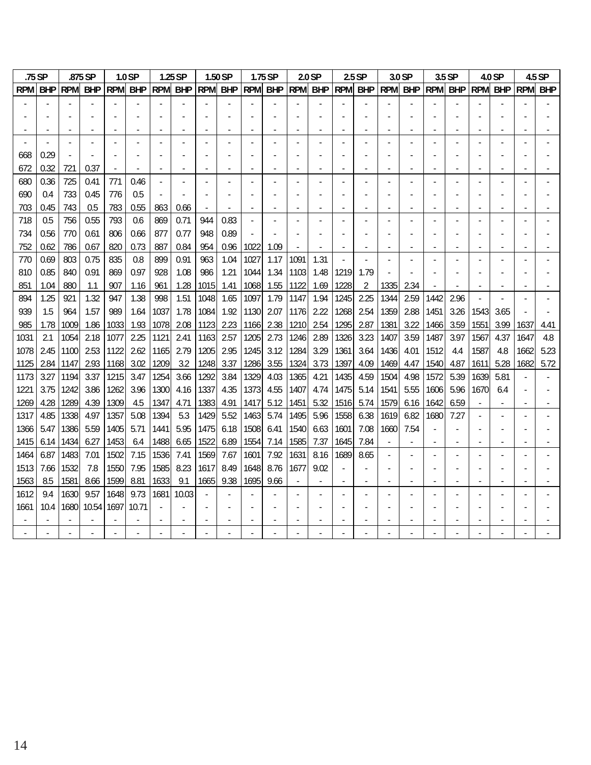| .75 SP       |              |              | .875 SP      |              | 1.0 <sub>SP</sub> |              | 1.25 SP     |              | 1.50 SP      |              | 1.75 SP      |              | 2.0 <sub>SP</sub> |              | $2.5$ SP     |              | 3.0 SP       |              | 3.5 SP      |              | 4.0 SP      |              | 4.5 SP       |
|--------------|--------------|--------------|--------------|--------------|-------------------|--------------|-------------|--------------|--------------|--------------|--------------|--------------|-------------------|--------------|--------------|--------------|--------------|--------------|-------------|--------------|-------------|--------------|--------------|
| <b>RPM</b>   | <b>BHP</b>   | <b>RPM</b>   | <b>BHP</b>   | <b>RPM</b>   | <b>BHP</b>        | <b>RPM</b>   | <b>BHP</b>  | <b>RPM</b>   | <b>BHP</b>   | <b>RPM</b>   | <b>BHP</b>   | <b>RPM</b>   | <b>BHP</b>        | <b>RPM</b>   | <b>BHP</b>   | <b>RPM</b>   | <b>BHP</b>   | <b>RPM</b>   | <b>BHP</b>  | <b>RPM</b>   | <b>BHP</b>  | <b>RPM</b>   | <b>BHP</b>   |
|              |              |              |              |              |                   |              |             |              |              |              |              |              |                   |              |              |              |              |              |             |              |             |              |              |
|              |              |              |              |              |                   |              |             |              |              |              |              |              |                   |              |              |              |              |              |             |              |             |              |              |
|              |              |              |              |              |                   |              |             |              |              |              |              |              |                   |              |              |              |              |              |             |              |             |              |              |
|              |              |              |              |              |                   |              |             |              |              |              |              |              |                   |              |              |              |              |              |             |              |             |              |              |
| 668          | 0.29         |              |              |              |                   |              |             |              |              |              |              |              |                   |              |              |              |              |              |             |              |             |              |              |
| 672          | 0.32         | 721          | 0.37         |              |                   |              |             |              |              |              |              |              |                   |              |              |              |              |              |             |              |             |              |              |
| 680          | 0.36         | 725          | 0.41         | 771          | 0.46              |              |             |              |              |              |              |              |                   |              |              |              |              |              |             |              |             |              |              |
| 690          | 0.4          | 733          | 0.45         | 776          | 0.5               |              |             |              |              |              |              |              |                   |              |              |              |              |              |             |              |             |              |              |
| 703          | 0.45         | 743          | 0.5          | 783          | 0.55              | 863          | 0.66        |              |              |              |              |              |                   |              |              |              |              |              |             |              |             |              |              |
| 718          | 0.5          | 756          | 0.55         | 793          | 0.6               | 869          | 0.71        | 944          | 0.83         |              |              |              |                   |              |              |              |              |              |             |              |             |              |              |
| 734          | 0.56         | 770          | 0.61         | 806          | 0.66              | 877          | 0.77        | 948          | 0.89         |              |              |              |                   |              |              |              |              |              |             |              |             |              |              |
| 752          | 0.62         | 786          | 0.67         | 820          | 0.73              | 887          | 0.84        | 954          | 0.96         | 1022         | 1.09         |              |                   |              |              |              |              |              |             |              |             |              |              |
| 770          | 0.69         | 803          | 0.75         | 835          | 0.8               | 899          | 0.91        | 963          | 1.04         | 1027         | 1.17         | 1091         | 1.31              |              |              |              |              |              |             |              |             |              |              |
| 810          | 0.85         | 840          | 0.91         | 869          | 0.97              | 928          | 1.08        | 986          | 1.21         | 1044         | 1.34         | 1103         | 1.48              | 1219         | 1.79         |              |              |              |             |              |             |              |              |
| 851          | 1.04         | 880          | 1.1          | 907          | 1.16              | 961          | 1.28        | 1015         | 1.41         | 1068         | 1.55         | 1122         | 1.69              | 1228         | 2            | 1335         | 2.34         |              |             |              |             |              |              |
| 894          | 1.25         | 921          | 1.32         | 947          | 1.38              | 998          | 1.51        | 1048l        | 1.65         | 1097         | 1.79         | 1147         | 1.94              | 1245         | 2.25         | 1344         | 2.59         | 1442         | 2.96        |              |             |              |              |
| 939          | 1.5          | 964          | 1.57         | 989          | 1.64              | 1037         | 1.78        | 1084         | 1.92         | 1130         | 2.07         | 1176         | 2.22              | 1268         | 2.54         | 1359         | 2.88         | 1451         | 3.26        | 1543         | 3.65        |              |              |
| 985          | 1.78         | 1009         | 1.86         | 1033         | 1.93              | 1078         | 2.08        | 1123         | 2.23         | 1166         | 2.38         | 1210         | 2.54              | 1295         | 2.87         | 1381         | 3.22         | 1466         | 3.59        | 1551         | 3.99        | 1637         | 4.41         |
| 1031         | 2.1          | 1054         | 2.18         | 1077         | 2.25              | 1121         | 2.41        | 1163         | 2.57         | 1205         | 2.73         | 1246         | 2.89              | 1326         | 3.23         | 1407         | 3.59         | 1487         | 3.97        | 1567         | 4.37        | 1647         | 4.8          |
| 1078<br>1125 | 2.45<br>2.84 | 1100<br>1147 | 2.53<br>2.93 | 1122<br>1168 | 2.62<br>3.02      | 1165<br>1209 | 2.79<br>3.2 | 1205<br>1248 | 2.95<br>3.37 | 1245<br>1286 | 3.12<br>3.55 | 1284<br>1324 | 3.29<br>3.73      | 1361<br>1397 | 3.64<br>4.09 | 1436<br>1469 | 4.01<br>4.47 | 1512<br>1540 | 4.4<br>4.87 | 1587<br>1611 | 4.8<br>5.28 | 1662<br>1682 | 5.23<br>5.72 |
| 1173         | 3.27         | 1194         | 3.37         | 1215         | 3.47              | 1254         | 3.66        | 1292         | 3.84         | 1329         | 4.03         | 1365         | 4.21              | 1435         | 4.59         | 1504         | 4.98         | 1572         | 5.39        | 1639         | 5.81        |              |              |
| 1221         | 3.75         | 1242         | 3.86         | 1262         | 3.96              | 1300         | 4.16        | 1337         | 4.35         | 1373         | 4.55         | 1407         | 4.74              | 1475         | 5.14         | 1541         | 5.55         | 1606         | 5.96        | 1670         | 6.4         |              |              |
| 1269         | 4.28         | 1289         | 4.39         | 1309         | 4.5               | 1347         | 4.71        | 1383         | 4.91         | 1417         | 5.12         | 1451         | 5.32              | 1516         | 5.74         | 1579         | 6.16         | 1642         | 6.59        |              |             |              |              |
| 1317         | 4.85         | 1338         | 4.97         | 1357         | 5.08              | 1394         | 5.3         | 14291        | 5.52         | 1463         | 5.74         | 1495         | 5.96              | 1558         | 6.38         | 1619         | 6.82         | 1680         | 7.27        |              |             |              |              |
| 1366         | 5.47         | 1386         | 5.59         | 1405         | 5.71              | 1441         | 5.95        | 1475         | 6.18         | 1508         | 6.41         | 1540         | 6.63              | 1601         | 7.08         | 1660         | 7.54         |              |             |              |             |              |              |
| 1415         | 6.14         | 1434         | 6.27         | 1453         | 6.4               | 1488         | 6.65        | 1522         | 6.89         | 1554         | 7.14         | 1585         | 7.37              | 1645         | 7.84         |              |              |              |             |              |             |              |              |
| 1464         | 6.87         | 1483         | 7.01         | 1502         | 7.15              | 1536         | 7.41        | 1569         | 7.67         | 1601         | 7.92         | 1631         | 8.16              | 1689         | 8.65         |              |              |              |             |              |             |              |              |
| 1513         | 7.66         | 1532         | 7.8          | 1550         | 7.95              | 1585         | 8.23        | 1617         | 8.49         | 1648         | 8.76         | 1677         | 9.02              |              |              |              |              |              |             |              |             |              |              |
| 1563         | 8.5          | 1581         | 8.66         | 1599         | 8.81              | 1633         | 9.1         | 1665         | 9.38         | 1695         | 9.66         |              |                   |              |              |              |              |              |             |              |             |              |              |
| 1612         | 9.4          | 1630         | 9.57         | 1648         | 9.73              | 1681         | 10.03       |              |              |              |              |              |                   |              |              |              |              |              |             |              |             |              |              |
| 1661         | 10.4         | 1680         | 10.54        | 1697         | 10.71             |              |             |              |              |              |              |              |                   |              |              |              |              |              |             |              |             |              |              |
|              |              |              |              |              |                   |              |             |              |              |              |              |              |                   |              |              |              |              |              |             |              |             |              |              |
|              |              |              |              |              |                   |              |             |              |              |              |              |              |                   |              |              |              |              |              |             |              |             |              |              |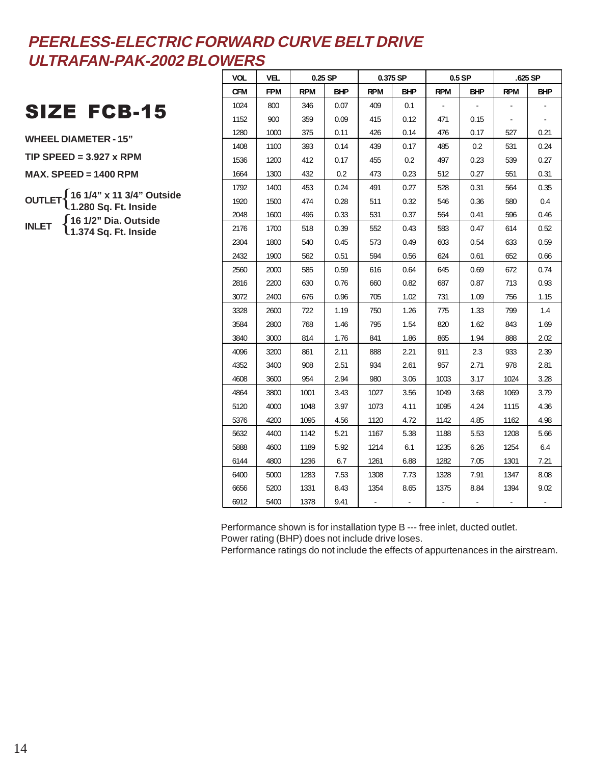## SIZE FCB-15

**WHEEL DIAMETER - 15"**

**TIP SPEED = 3.927 x RPM**

**MAX. SPEED = 1400 RPM**

**OUTLET INLET**  $\cdot \{$ { **16 1/4" x 11 3/4" Outside 1.280 Sq. Ft. Inside 16 1/2" Dia. Outside 1.374 Sq. Ft. Inside**

| <b>VOL</b> | <b>VEL</b> |            | $0.25$ SP  |            | 0.375 SP   |            | $0.5$ SP   |            | .625 SP    |
|------------|------------|------------|------------|------------|------------|------------|------------|------------|------------|
| <b>CFM</b> | <b>FPM</b> | <b>RPM</b> | <b>BHP</b> | <b>RPM</b> | <b>BHP</b> | <b>RPM</b> | <b>BHP</b> | <b>RPM</b> | <b>BHP</b> |
| 1024       | 800        | 346        | 0.07       | 409        | 0.1        |            |            |            |            |
| 1152       | 900        | 359        | 0.09       | 415        | 0.12       | 471        | 0.15       |            |            |
| 1280       | 1000       | 375        | 0.11       | 426        | 0.14       | 476        | 0.17       | 527        | 0.21       |
| 1408       | 1100       | 393        | 0.14       | 439        | 0.17       | 485        | 0.2        | 531        | 0.24       |
| 1536       | 1200       | 412        | 0.17       | 455        | 0.2        | 497        | 0.23       | 539        | 0.27       |
| 1664       | 1300       | 432        | 0.2        | 473        | 0.23       | 512        | 0.27       | 551        | 0.31       |
| 1792       | 1400       | 453        | 0.24       | 491        | 0.27       | 528        | 0.31       | 564        | 0.35       |
| 1920       | 1500       | 474        | 0.28       | 511        | 0.32       | 546        | 0.36       | 580        | 0.4        |
| 2048       | 1600       | 496        | 0.33       | 531        | 0.37       | 564        | 0.41       | 596        | 0.46       |
| 2176       | 1700       | 518        | 0.39       | 552        | 0.43       | 583        | 0.47       | 614        | 0.52       |
| 2304       | 1800       | 540        | 0.45       | 573        | 0.49       | 603        | 0.54       | 633        | 0.59       |
| 2432       | 1900       | 562        | 0.51       | 594        | 0.56       | 624        | 0.61       | 652        | 0.66       |
| 2560       | 2000       | 585        | 0.59       | 616        | 0.64       | 645        | 0.69       | 672        | 0.74       |
| 2816       | 2200       | 630        | 0.76       | 660        | 0.82       | 687        | 0.87       | 713        | 0.93       |
| 3072       | 2400       | 676        | 0.96       | 705        | 1.02       | 731        | 1.09       | 756        | 1.15       |
| 3328       | 2600       | 722        | 1.19       | 750        | 1.26       | 775        | 1.33       | 799        | 1.4        |
| 3584       | 2800       | 768        | 1.46       | 795        | 1.54       | 820        | 1.62       | 843        | 1.69       |
| 3840       | 3000       | 814        | 1.76       | 841        | 1.86       | 865        | 1.94       | 888        | 2.02       |
| 4096       | 3200       | 861        | 2.11       | 888        | 2.21       | 911        | 2.3        | 933        | 2.39       |
| 4352       | 3400       | 908        | 2.51       | 934        | 2.61       | 957        | 2.71       | 978        | 2.81       |
| 4608       | 3600       | 954        | 2.94       | 980        | 3.06       | 1003       | 3.17       | 1024       | 3.28       |
| 4864       | 3800       | 1001       | 3.43       | 1027       | 3.56       | 1049       | 3.68       | 1069       | 3.79       |
| 5120       | 4000       | 1048       | 3.97       | 1073       | 4.11       | 1095       | 4.24       | 1115       | 4.36       |
| 5376       | 4200       | 1095       | 4.56       | 1120       | 4.72       | 1142       | 4.85       | 1162       | 4.98       |
| 5632       | 4400       | 1142       | 5.21       | 1167       | 5.38       | 1188       | 5.53       | 1208       | 5.66       |
| 5888       | 4600       | 1189       | 5.92       | 1214       | 6.1        | 1235       | 6.26       | 1254       | 6.4        |
| 6144       | 4800       | 1236       | 6.7        | 1261       | 6.88       | 1282       | 7.05       | 1301       | 7.21       |
| 6400       | 5000       | 1283       | 7.53       | 1308       | 7.73       | 1328       | 7.91       | 1347       | 8.08       |
| 6656       | 5200       | 1331       | 8.43       | 1354       | 8.65       | 1375       | 8.84       | 1394       | 9.02       |
| 6912       | 5400       | 1378       | 9.41       |            |            |            |            |            |            |

Performance shown is for installation type B --- free inlet, ducted outlet. Power rating (BHP) does not include drive loses.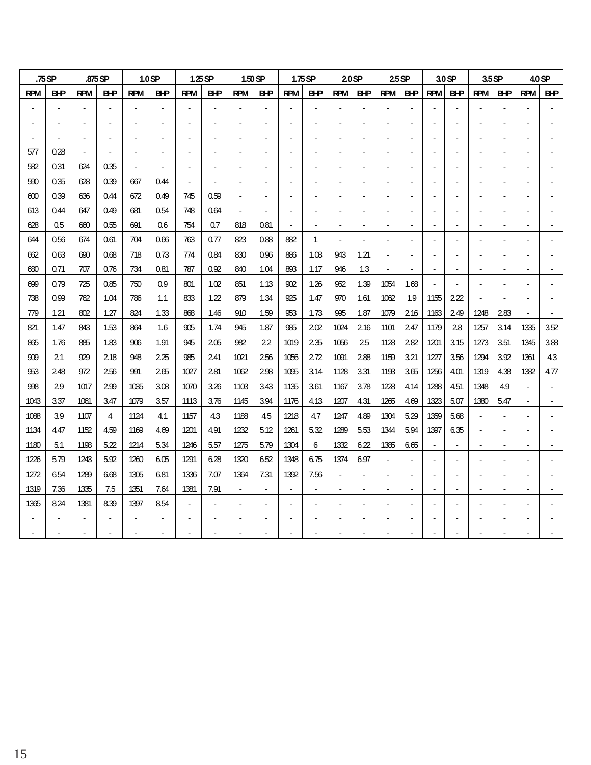|            | $.75$ SP   |                | .875 SP    |            | 1.0 SP     |            | $1.25$ SP  |                          | 1.50 SP        |                | $1.75$ SP  |                          | $20S$ P    |            | $25$ SP    |            | 3.0 SP                   |            | 3.5 SP     |            | 4.0 SP     |
|------------|------------|----------------|------------|------------|------------|------------|------------|--------------------------|----------------|----------------|------------|--------------------------|------------|------------|------------|------------|--------------------------|------------|------------|------------|------------|
| <b>RPM</b> | <b>B+P</b> | <b>RPM</b>     | <b>B+P</b> | <b>RPM</b> | <b>BHP</b> | <b>RPM</b> | <b>BHP</b> | <b>RPM</b>               | <b>B+P</b>     | <b>RPM</b>     | <b>BHP</b> | <b>RPM</b>               | <b>BHP</b> | <b>RPM</b> | <b>BHP</b> | <b>RPM</b> | <b>BHP</b>               | <b>RPM</b> | <b>BHP</b> | <b>RPM</b> | <b>B+P</b> |
|            |            |                |            |            |            |            |            |                          |                |                |            |                          |            |            |            |            |                          |            |            |            |            |
|            |            |                |            |            |            |            |            |                          |                |                |            |                          |            |            |            |            |                          |            |            |            |            |
|            |            |                |            |            |            |            |            | Ĭ.                       |                |                |            | $\overline{\phantom{a}}$ |            | ٠          |            |            | $\overline{\phantom{a}}$ |            |            |            |            |
| 577        | 0.28       | $\overline{a}$ |            |            |            |            |            |                          |                |                |            |                          |            |            |            |            |                          |            |            |            |            |
| 582        | 0.31       | 624            | 0.35       |            |            |            |            |                          |                |                |            |                          |            |            |            |            |                          |            |            |            |            |
| 590        | 0.35       | 628            | 0.39       | 667        | 0.44       |            |            | -                        |                | $\blacksquare$ |            | $\overline{\phantom{a}}$ | ٠          | ٠          |            |            | $\blacksquare$           |            |            |            |            |
| 600        | 0.39       | 636            | 0.44       | 672        | 0.49       | 745        | 0.59       | $\blacksquare$           |                |                |            |                          |            |            |            |            |                          |            |            |            |            |
| 613        | 0.44       | 647            | 0.49       | 681        | 0.54       | 748        | 0.64       | $\overline{\phantom{a}}$ |                |                |            |                          |            |            |            |            |                          |            |            |            |            |
| 628        | 0.5        | 660            | 0.55       | 691        | 0.6        | 754        | 0.7        | 818                      | 0.81           |                |            | $\overline{\phantom{a}}$ | ٠          |            |            |            | $\overline{a}$           |            |            |            |            |
| 644        | 0.56       | 674            | 0.61       | 704        | 0.66       | 763        | 0.77       | 823                      | 0.88           | 882            | 1          | $\blacksquare$           |            |            |            |            |                          |            |            |            |            |
| 662        | 0.63       | 690            | 0.68       | 718        | 0.73       | 774        | 0.84       | 830                      | 0.96           | 886            | 1.08       | 943                      | 1.21       |            |            |            |                          |            |            |            |            |
| 680        | 0.71       | 707            | 0.76       | 734        | 0.81       | 787        | 0.92       | 840                      | 1.04           | 893            | 1.17       | 946                      | 1.3        |            |            |            |                          |            |            |            |            |
| 699        | 0.79       | 725            | 0.85       | 750        | 0.9        | 801        | 1.02       | 851                      | 1.13           | 902            | 1.26       | 952                      | 1.39       | 1054       | 1.68       |            | $\overline{a}$           |            |            |            |            |
| 738        | 0.99       | 762            | 1.04       | 786        | 1.1        | 833        | 1.22       | 879                      | 1.34           | 925            | 1.47       | 970                      | 1.61       | 1062       | 1.9        | 1155       | 222                      |            |            |            |            |
| 779        | 1.21       | 802            | 1.27       | 824        | 1.33       | 868        | 1.46       | 910                      | 1.59           | 953            | 1.73       | 995                      | 1.87       | 1079       | 2.16       | 1163       | 249                      | 1248       | 283        |            |            |
| 821        | 1.47       | 843            | 1.53       | 864        | 1.6        | 905        | 1.74       | 945                      | 1.87           | 985            | 202        | 1024                     | 216        | 1101       | 2.47       | 1179       | 28                       | 1257       | 3.14       | 1335       | 3.52       |
| 865        | 1.76       | 885            | 1.83       | 906        | 1.91       | 945        | 205        | 982                      | 22             | 1019           | 235        | 1056                     | 25         | 1128       | 282        | 1201       | 3.15                     | 1273       | 3.51       | 1345       | 3.88       |
| 909        | 21         | 929            | 2.18       | 948        | 225        | 985        | 241        | 1021                     | 256            | 1056           | 2.72       | 1091                     | 288        | 1159       | 3.21       | 1227       | 356                      | 1294       | 3.92       | 1361       | 4.3        |
| 953        | 248        | 972            | 256        | 991        | 265        | 1027       | 2.81       | 1062                     | 2.98           | 1095           | 3.14       | 1128                     | 3.31       | 1193       | 3.65       | 1256       | 4.01                     | 1319       | 4.38       | 1382       | 4.77       |
| 998        | 29         | 1017           | 2.99       | 1035       | 3.08       | 1070       | 3.26       | 1103                     | 3.43           | 1135           | 3.61       | 1167                     | 3.78       | 1228       | 4.14       | 1288       | 4.51                     | 1348       | 4.9        |            |            |
| 1043       | 3.37       | 1061           | 3.47       | 1079       | 3.57       | 1113       | 3.76       | 1145                     | 3.94           | 1176           | 4.13       | 1207                     | 4.31       | 1265       | 4.69       | 1323       | 5.07                     | 1380       | 5.47       |            |            |
| 1088       | 3.9        | 1107           | 4          | 1124       | 4.1        | 1157       | 4.3        | 1188                     | 4.5            | 1218           | 4.7        | 1247                     | 4.89       | 1304       | 5.29       | 1359       | 5.68                     |            |            |            |            |
| 1134       | 4.47       | 1152           | 4.59       | 1169       | 4.69       | 1201       | 4.91       | 1232                     | 5.12           | 1261           | 5.32       | 1289                     | 5.53       | 1344       | 5.94       | 1397       | 6.35                     |            |            |            |            |
| 1180       | 5.1        | 1198           | 5.22       | 1214       | 5.34       | 1246       | 5.57       | 1275                     | 5.79           | 1304           | 6          | 1332                     | 6.22       | 1385       | 6.65       |            |                          |            |            |            |            |
| 1226       | 5.79       | 1243           | 5.92       | 1260       | 6.05       | 1291       | 6.28       | 1320                     | 6.52           | 1348           | 6.75       | 1374                     | 6.97       |            |            |            |                          |            |            |            |            |
| 1272       | 6.54       | 1289           | 6.68       | 1305       | 6.81       | 1336       | 7.07       | 1364                     | 7.31           | 1392           | 7.56       | $\overline{\phantom{a}}$ |            |            |            |            |                          |            |            |            |            |
| 1319       | 7.36       | 1335           | 7.5        | 1351       | 7.64       | 1381       | 7.91       | $\overline{\phantom{a}}$ | $\blacksquare$ |                |            | $\overline{\phantom{a}}$ |            |            |            |            |                          |            |            |            |            |
| 1365       | 8.24       | 1381           | 8.39       | 1397       | 8.54       |            |            |                          |                |                |            |                          |            |            |            |            |                          |            |            |            |            |
|            |            |                |            |            |            |            |            |                          |                |                |            |                          |            |            |            |            |                          |            |            |            |            |
|            |            |                |            |            |            |            |            |                          |                |                |            |                          |            |            |            |            |                          |            |            |            |            |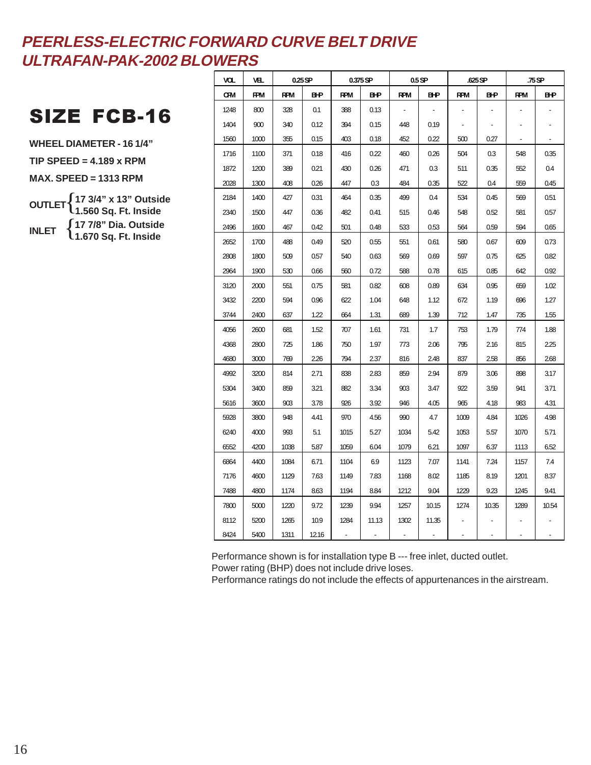## SIZE FCB-16

**WHEEL DIAMETER - 16 1/4" TIP SPEED = 4.189 x RPM MAX. SPEED = 1313 RPM OUTLET** { **17 3/4" x 13" Outside INLET** { **17 7/8" Dia. Outside 1.560 Sq. Ft. Inside**

**1.670 Sq. Ft. Inside**

| VOL.       | VEL.       |            | $0.25$ SP  |            | 0.375 SP   |            | $0.5$ SP   |            | .625 SP    |            | .75 SP     |
|------------|------------|------------|------------|------------|------------|------------|------------|------------|------------|------------|------------|
| <b>CFM</b> | <b>FPM</b> | <b>RPM</b> | <b>BHP</b> | <b>RPM</b> | <b>BHP</b> | <b>RPM</b> | <b>BHP</b> | <b>RPM</b> | <b>BHP</b> | <b>RPM</b> | <b>BHP</b> |
| 1248       | 800        | 328        | 0.1        | 388        | 0.13       |            |            |            |            |            |            |
| 1404       | 900        | 340        | 0.12       | 394        | 0.15       | 448        | 0.19       |            |            |            |            |
| 1560       | 1000       | 355        | 0.15       | 403        | 0.18       | 452        | 0.22       | 500        | 0.27       |            |            |
| 1716       | 1100       | 371        | 0.18       | 416        | 0.22       | 460        | 0.26       | 504        | 0.3        | 548        | 0.35       |
| 1872       | 1200       | 389        | 0.21       | 430        | 0.26       | 471        | 0.3        | 511        | 0.35       | 552        | 0.4        |
| 2028       | 1300       | 408        | 0.26       | 447        | 0.3        | 484        | 0.35       | 522        | 0.4        | 559        | 0.45       |
| 2184       | 1400       | 427        | 0.31       | 464        | 0.35       | 499        | 0.4        | 534        | 0.45       | 569        | 0.51       |
| 2340       | 1500       | 447        | 0.36       | 482        | 0.41       | 515        | 0.46       | 548        | 0.52       | 581        | 0.57       |
| 2496       | 1600       | 467        | 0.42       | 501        | 0.48       | 533        | 0.53       | 564        | 0.59       | 594        | 0.65       |
| 2652       | 1700       | 488        | 0.49       | 520        | 0.55       | 551        | 0.61       | 580        | 0.67       | 609        | 0.73       |
| 2808       | 1800       | 509        | 0.57       | 540        | 0.63       | 569        | 0.69       | 597        | 0.75       | 625        | 0.82       |
| 2964       | 1900       | 530        | 0.66       | 560        | 0.72       | 588        | 0.78       | 615        | 0.85       | 642        | 0.92       |
| 3120       | 2000       | 551        | 0.75       | 581        | 0.82       | 608        | 0.89       | 634        | 0.95       | 659        | 1.02       |
| 3432       | 2200       | 594        | 0.96       | 622        | 1.04       | 648        | 1.12       | 672        | 1.19       | 696        | 1.27       |
| 3744       | 2400       | 637        | 1.22       | 664        | 1.31       | 689        | 1.39       | 712        | 1.47       | 735        | 1.55       |
| 4056       | 2600       | 681        | 1.52       | 707        | 1.61       | 731        | 1.7        | 753        | 1.79       | 774        | 1.88       |
| 4368       | 2800       | 725        | 1.86       | 750        | 1.97       | 773        | 206        | 795        | 2.16       | 815        | 225        |
| 4680       | 3000       | 769        | 226        | 794        | 2.37       | 816        | 2.48       | 837        | 2.58       | 856        | 268        |
| 4992       | 3200       | 814        | 2.71       | 838        | 2.83       | 859        | 2.94       | 879        | 3.06       | 898        | 3.17       |
| 5304       | 3400       | 859        | 321        | 882        | 3.34       | 903        | 3.47       | 922        | 3.59       | 941        | 3.71       |
| 5616       | 3600       | 903        | 3.78       | 926        | 3.92       | 946        | 4.05       | 965        | 4.18       | 983        | 4.31       |
| 5928       | 3800       | 948        | 4.41       | 970        | 4.56       | 990        | 4.7        | 1009       | 4.84       | 1026       | 4.98       |
| 6240       | 4000       | 993        | 5.1        | 1015       | 5.27       | 1034       | 5.42       | 1053       | 5.57       | 1070       | 571        |
| 6552       | 4200       | 1038       | 5.87       | 1059       | 6.04       | 1079       | 6.21       | 1097       | 6.37       | 1113       | 652        |
| 6864       | 4400       | 1084       | 6.71       | 1104       | 6.9        | 1123       | 7.07       | 1141       | 7.24       | 1157       | 7.4        |
| 7176       | 4600       | 1129       | 7.63       | 1149       | 7.83       | 1168       | 8.02       | 1185       | 8.19       | 1201       | 837        |
| 7488       | 4800       | 1174       | 863        | 1194       | 8.84       | 1212       | 9.04       | 1229       | 9.23       | 1245       | 941        |
| 7800       | 5000       | 1220       | 9.72       | 1239       | 9.94       | 1257       | 10.15      | 1274       | 10.35      | 1289       | 10.54      |
| 8112       | 5200       | 1265       | 10.9       | 1284       | 11.13      | 1302       | 11.35      |            |            |            |            |
| 8424       | 5400       | 1311       | 12.16      |            |            |            |            |            |            |            |            |

Performance shown is for installation type B --- free inlet, ducted outlet. Power rating (BHP) does not include drive loses.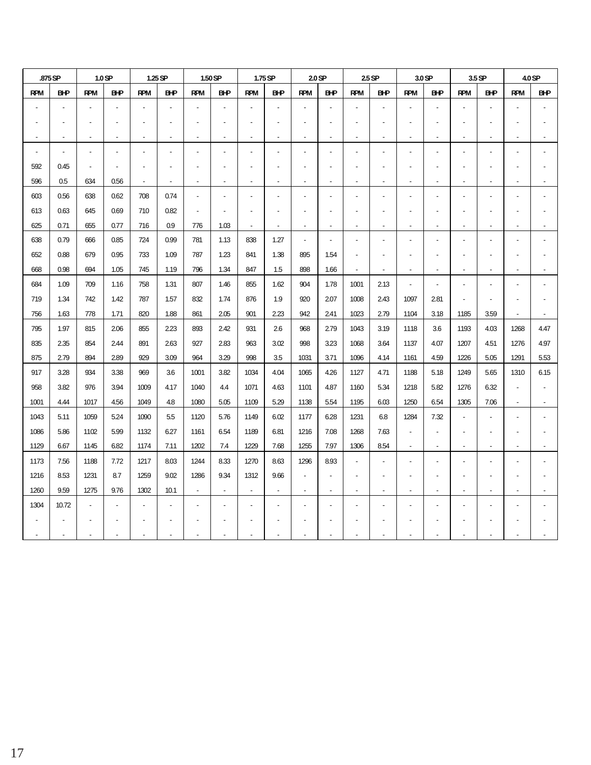|                | .875 SP                  |                | 1.0 <sub>SP</sub>        |                          | 1.25 SP                  |                          | 1.50 SP                  |                          | 1.75 SP                  |                          | 2.0 <sub>SP</sub>        |                          | $25$ SP                  |                          | 3.0 SP                   |                          | 3.5 SP                   |                          | 4.0 SP         |
|----------------|--------------------------|----------------|--------------------------|--------------------------|--------------------------|--------------------------|--------------------------|--------------------------|--------------------------|--------------------------|--------------------------|--------------------------|--------------------------|--------------------------|--------------------------|--------------------------|--------------------------|--------------------------|----------------|
| <b>RPM</b>     | <b>BHP</b>               | <b>RPM</b>     | BНP                      | <b>RPM</b>               | <b>BHP</b>               | <b>RPM</b>               | <b>BHP</b>               | <b>RPM</b>               | <b>BHP</b>               | <b>RPM</b>               | BНP                      | <b>RPM</b>               | <b>BHP</b>               | <b>RPM</b>               | <b>B+P</b>               | <b>RPM</b>               | <b>BHP</b>               | <b>RPM</b>               | <b>BHP</b>     |
|                |                          |                | $\overline{a}$           |                          |                          |                          |                          |                          |                          |                          |                          |                          | $\overline{a}$           |                          |                          |                          | $\overline{a}$           |                          |                |
|                |                          |                |                          |                          |                          |                          |                          |                          |                          |                          |                          |                          |                          |                          |                          |                          |                          |                          |                |
| $\overline{a}$ | $\overline{\phantom{a}}$ | $\overline{a}$ | $\blacksquare$           | $\overline{\phantom{a}}$ | $\blacksquare$           | $\overline{\phantom{a}}$ | $\blacksquare$           | $\overline{a}$           | $\overline{a}$           | $\overline{\phantom{a}}$ | $\overline{\phantom{a}}$ | $\overline{\phantom{a}}$ | $\blacksquare$           | $\overline{\phantom{a}}$ | $\overline{a}$           | $\overline{a}$           | $\overline{a}$           |                          |                |
| $\blacksquare$ | $\blacksquare$           | $\overline{a}$ | $\overline{a}$           |                          |                          | $\overline{\phantom{a}}$ |                          |                          |                          | $\overline{a}$           |                          |                          | $\overline{a}$           | $\overline{a}$           | $\overline{a}$           |                          | $\overline{a}$           |                          |                |
| 592            | 0.45                     |                |                          |                          |                          |                          |                          |                          |                          |                          |                          |                          |                          |                          |                          |                          |                          |                          |                |
| 596            | 0.5                      | 634            | 0.56                     | $\overline{\phantom{0}}$ | $\overline{\phantom{a}}$ | $\overline{\phantom{a}}$ | $\overline{\phantom{a}}$ | $\overline{a}$           | $\overline{\phantom{a}}$ | $\overline{a}$           | $\overline{\phantom{a}}$ | $\overline{\phantom{a}}$ | $\overline{a}$           | $\overline{\phantom{a}}$ | $\overline{\phantom{a}}$ | $\overline{\phantom{0}}$ | $\overline{\phantom{a}}$ |                          |                |
| 603            | 0.56                     | 638            | 0.62                     | 708                      | 0.74                     | $\overline{\phantom{a}}$ |                          |                          |                          | ÷,                       |                          |                          | $\overline{a}$           |                          | $\overline{a}$           |                          | $\overline{\phantom{a}}$ |                          |                |
| 613            | 0.63                     | 645            | 0.69                     | 710                      | 0.82                     | ÷,                       |                          |                          |                          |                          |                          |                          |                          |                          |                          |                          |                          |                          |                |
| 625            | 0.71                     | 655            | 0.77                     | 716                      | 0.9                      | 776                      | 1.03                     | $\overline{\phantom{a}}$ | $\overline{\phantom{a}}$ | $\overline{a}$           | $\overline{\phantom{a}}$ | $\overline{\phantom{a}}$ | $\overline{a}$           | $\overline{\phantom{a}}$ | $\overline{\phantom{a}}$ | $\overline{\phantom{0}}$ | $\overline{\phantom{a}}$ |                          |                |
| 638            | 0.79                     | 666            | 0.85                     | 724                      | 0.99                     | 781                      | 1.13                     | 838                      | 1.27                     | $\overline{\phantom{a}}$ | $\overline{a}$           | $\overline{a}$           | $\overline{a}$           | $\overline{a}$           | $\overline{a}$           | $\overline{\phantom{a}}$ | $\overline{a}$           |                          |                |
| 652            | 0.88                     | 679            | 0.95                     | 733                      | 1.09                     | 787                      | 1.23                     | 841                      | 1.38                     | 895                      | 1.54                     |                          |                          |                          |                          |                          |                          |                          |                |
| 668            | 0.98                     | 694            | 1.05                     | 745                      | 1.19                     | 796                      | 1.34                     | 847                      | 1.5                      | 898                      | 1.66                     | $\overline{\phantom{a}}$ | $\blacksquare$           | $\sim$                   | $\blacksquare$           | $\blacksquare$           | $\overline{a}$           |                          |                |
| 684            | 1.09                     | 709            | 1.16                     | 758                      | 1.31                     | 807                      | 1.46                     | 855                      | 1.62                     | 904                      | 1.78                     | 1001                     | 2.13                     | $\overline{\phantom{a}}$ | $\overline{a}$           |                          | $\overline{a}$           |                          |                |
| 719            | 1.34                     | 742            | 1.42                     | 787                      | 1.57                     | 832                      | 1.74                     | 876                      | 1.9                      | 920                      | 2.07                     | 1008                     | 2.43                     | 1097                     | 2.81                     |                          |                          |                          |                |
| 756            | 1.63                     | 778            | 1.71                     | 820                      | 1.88                     | 861                      | 2.05                     | 901                      | 2.23                     | 942                      | 2.41                     | 1023                     | 2.79                     | 1104                     | 3.18                     | 1185                     | 3.59                     | $\overline{\phantom{a}}$ |                |
| 795            | 1.97                     | 815            | 2.06                     | 855                      | 2.23                     | 893                      | 2.42                     | 931                      | 2.6                      | 968                      | 2.79                     | 1043                     | 3.19                     | 1118                     | 3.6                      | 1193                     | 4.03                     | 1268                     | 4.47           |
| 835            | 2.35                     | 854            | 2.44                     | 891                      | 263                      | 927                      | 2.83                     | 963                      | 3.02                     | 998                      | 323                      | 1068                     | 3.64                     | 1137                     | 4.07                     | 1207                     | 4.51                     | 1276                     | 4.97           |
| 875            | 2.79                     | 894            | 2.89                     | 929                      | 3.09                     | 964                      | 3.29                     | 998                      | 3.5                      | 1031                     | 3.71                     | 1096                     | 4.14                     | 1161                     | 4.59                     | 1226                     | 5.05                     | 1291                     | 5.53           |
| 917            | 3.28                     | 934            | 3.38                     | 969                      | 3.6                      | 1001                     | 3.82                     | 1034                     | 4.04                     | 1065                     | 4.26                     | 1127                     | 4.71                     | 1188                     | 5.18                     | 1249                     | 5.65                     | 1310                     | 6.15           |
| 958            | 3.82                     | 976            | 3.94                     | 1009                     | 4.17                     | 1040                     | 4.4                      | 1071                     | 4.63                     | 1101                     | 4.87                     | 1160                     | 5.34                     | 1218                     | 5.82                     | 1276                     | 6.32                     |                          | $\overline{a}$ |
| 1001           | 4.44                     | 1017           | 4.56                     | 1049                     | 4.8                      | 1080                     | 5.05                     | 1109                     | 5.29                     | 1138                     | 5.54                     | 1195                     | 6.03                     | 1250                     | 6.54                     | 1305                     | 7.06                     |                          | $\blacksquare$ |
| 1043           | 5.11                     | 1059           | 5.24                     | 1090                     | 5.5                      | 1120                     | 5.76                     | 1149                     | 6.02                     | 1177                     | 6.28                     | 1231                     | 6.8                      | 1284                     | 7.32                     |                          | $\overline{a}$           |                          |                |
| 1086           | 5.86                     | 1102           | 5.99                     | 1132                     | 6.27                     | 1161                     | 6.54                     | 1189                     | 6.81                     | 1216                     | 7.08                     | 1268                     | 7.63                     | $\overline{a}$           |                          |                          |                          |                          |                |
| 1129           | 6.67                     | 1145           | 6.82                     | 1174                     | 7.11                     | 1202                     | 7.4                      | 1229                     | 7.68                     | 1255                     | 7.97                     | 1306                     | 8.54                     | $\overline{\phantom{a}}$ | $\blacksquare$           | $\blacksquare$           | $\blacksquare$           |                          |                |
| 1173           | 7.56                     | 1188           | 7.72                     | 1217                     | 8.03                     | 1244                     | 8.33                     | 1270                     | 8.63                     | 1296                     | 8.93                     |                          | $\overline{a}$           | ÷,                       | $\overline{a}$           |                          | ÷,                       |                          |                |
| 1216           | 8.53                     | 1231           | 8.7                      | 1259                     | 9.02                     | 1286                     | 9.34                     | 1312                     | 9.66                     | $\overline{\phantom{a}}$ |                          |                          |                          |                          |                          |                          |                          |                          |                |
| 1260           | 9.59                     | 1275           | 9.76                     | 1302                     | 10.1                     | $\blacksquare$           | $\blacksquare$           | $\overline{\phantom{a}}$ | $\overline{\phantom{a}}$ | $\blacksquare$           | $\overline{\phantom{a}}$ | $\blacksquare$           | $\overline{\phantom{a}}$ | $\blacksquare$           | $\overline{a}$           | $\blacksquare$           | $\blacksquare$           |                          |                |
| 1304           | 10.72                    |                | $\overline{\phantom{a}}$ |                          |                          | $\overline{\phantom{a}}$ |                          |                          |                          | Ĭ.                       |                          |                          | $\overline{a}$           |                          | $\overline{a}$           |                          | $\overline{a}$           |                          |                |
|                |                          |                |                          |                          |                          |                          |                          |                          |                          |                          |                          |                          |                          |                          |                          |                          |                          |                          |                |
| $\blacksquare$ |                          |                | $\blacksquare$           |                          |                          |                          |                          |                          |                          |                          |                          |                          |                          |                          |                          | $\overline{\phantom{a}}$ | $\overline{\phantom{a}}$ |                          |                |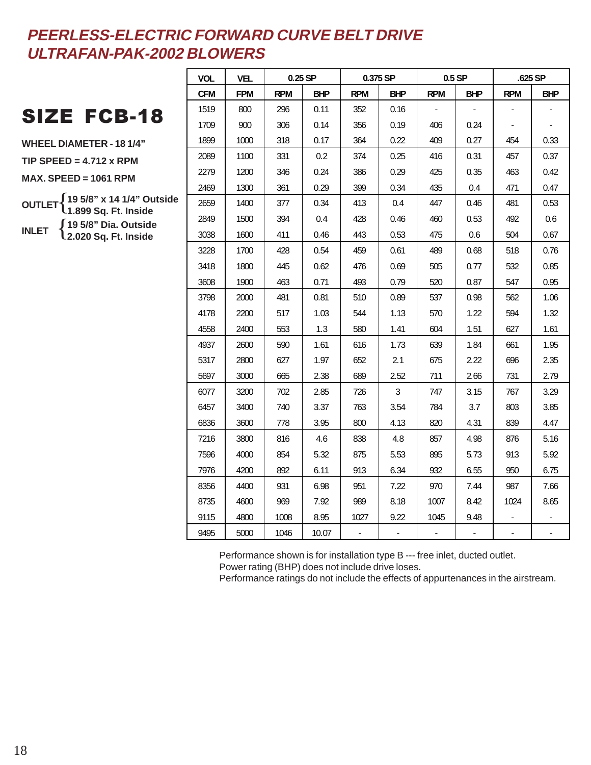## SIZE FCB-18

**WHEEL DIAMETER - 18 1/4" TIP SPEED = 4.712 x RPM**

**MAX. SPEED = 1061 RPM**

**OUTLET** { **19 5/8" x 14 1/4" Outside INLET** { **19 5/8" Dia. Outside 1.899 Sq. Ft. Inside 2.020 Sq. Ft. Inside**

| <b>VOL</b> | <b>VEL</b> |            | $0.25$ SP  |            | 0.375 SP   |            | $0.5$ SP   |            | $.625$ SP  |
|------------|------------|------------|------------|------------|------------|------------|------------|------------|------------|
| <b>CFM</b> | <b>FPM</b> | <b>RPM</b> | <b>BHP</b> | <b>RPM</b> | <b>BHP</b> | <b>RPM</b> | <b>BHP</b> | <b>RPM</b> | <b>BHP</b> |
| 1519       | 800        | 296        | 0.11       | 352        | 0.16       |            |            |            |            |
| 1709       | 900        | 306        | 0.14       | 356        | 0.19       | 406        | 0.24       |            |            |
| 1899       | 1000       | 318        | 0.17       | 364        | 0.22       | 409        | 0.27       | 454        | 0.33       |
| 2089       | 1100       | 331        | 0.2        | 374        | 0.25       | 416        | 0.31       | 457        | 0.37       |
| 2279       | 1200       | 346        | 0.24       | 386        | 0.29       | 425        | 0.35       | 463        | 0.42       |
| 2469       | 1300       | 361        | 0.29       | 399        | 0.34       | 435        | 0.4        | 471        | 0.47       |
| 2659       | 1400       | 377        | 0.34       | 413        | 0.4        | 447        | 0.46       | 481        | 0.53       |
| 2849       | 1500       | 394        | 0.4        | 428        | 0.46       | 460        | 0.53       | 492        | 0.6        |
| 3038       | 1600       | 411        | 0.46       | 443        | 0.53       | 475        | 0.6        | 504        | 0.67       |
| 3228       | 1700       | 428        | 0.54       | 459        | 0.61       | 489        | 0.68       | 518        | 0.76       |
| 3418       | 1800       | 445        | 0.62       | 476        | 0.69       | 505        | 0.77       | 532        | 0.85       |
| 3608       | 1900       | 463        | 0.71       | 493        | 0.79       | 520        | 0.87       | 547        | 0.95       |
| 3798       | 2000       | 481        | 0.81       | 510        | 0.89       | 537        | 0.98       | 562        | 1.06       |
| 4178       | 2200       | 517        | 1.03       | 544        | 1.13       | 570        | 1.22       | 594        | 1.32       |
| 4558       | 2400       | 553        | 1.3        | 580        | 1.41       | 604        | 1.51       | 627        | 1.61       |
| 4937       | 2600       | 590        | 1.61       | 616        | 1.73       | 639        | 1.84       | 661        | 1.95       |
| 5317       | 2800       | 627        | 1.97       | 652        | 2.1        | 675        | 2.22       | 696        | 2.35       |
| 5697       | 3000       | 665        | 2.38       | 689        | 2.52       | 711        | 2.66       | 731        | 2.79       |
| 6077       | 3200       | 702        | 2.85       | 726        | 3          | 747        | 3.15       | 767        | 3.29       |
| 6457       | 3400       | 740        | 3.37       | 763        | 3.54       | 784        | 3.7        | 803        | 3.85       |
| 6836       | 3600       | 778        | 3.95       | 800        | 4.13       | 820        | 4.31       | 839        | 4.47       |
| 7216       | 3800       | 816        | 4.6        | 838        | 4.8        | 857        | 4.98       | 876        | 5.16       |
| 7596       | 4000       | 854        | 5.32       | 875        | 5.53       | 895        | 5.73       | 913        | 5.92       |
| 7976       | 4200       | 892        | 6.11       | 913        | 6.34       | 932        | 6.55       | 950        | 6.75       |
| 8356       | 4400       | 931        | 6.98       | 951        | 7.22       | 970        | 7.44       | 987        | 7.66       |
| 8735       | 4600       | 969        | 7.92       | 989        | 8.18       | 1007       | 8.42       | 1024       | 8.65       |
| 9115       | 4800       | 1008       | 8.95       | 1027       | 9.22       | 1045       | 9.48       |            |            |
| 9495       | 5000       | 1046       | 10.07      | -          |            |            |            |            |            |

Performance shown is for installation type B --- free inlet, ducted outlet.

Power rating (BHP) does not include drive loses.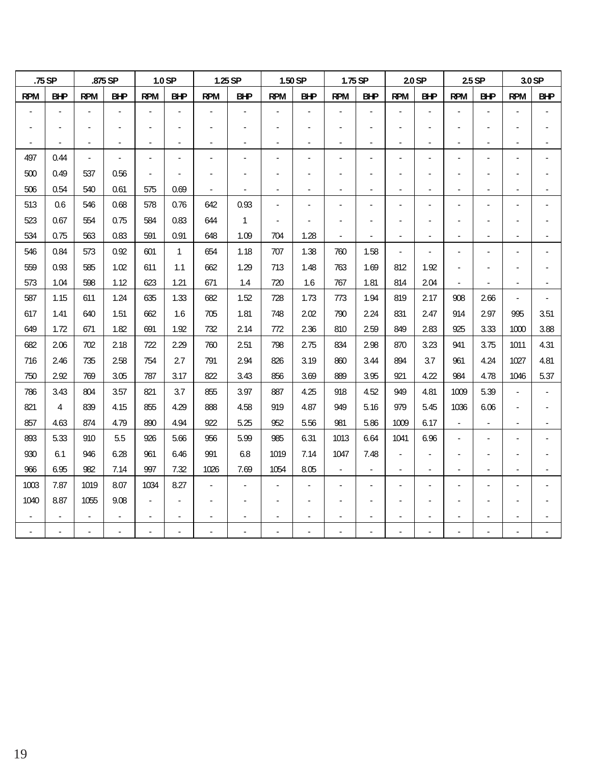|                | .75 SP                   |                | .875 SP        |                | 1.0 SP         |                          | 1.25 SP        |                | 1.50 SP        | 1.75 SP                  |                          |                          | 2.0 SP         |                          | $2.5$ SP                 |                          | 3.0 SP                   |
|----------------|--------------------------|----------------|----------------|----------------|----------------|--------------------------|----------------|----------------|----------------|--------------------------|--------------------------|--------------------------|----------------|--------------------------|--------------------------|--------------------------|--------------------------|
| <b>RPM</b>     | <b>BHP</b>               | <b>RPM</b>     | <b>BHP</b>     | <b>RPM</b>     | <b>BHP</b>     | <b>RPM</b>               | <b>BHP</b>     | <b>RPM</b>     | <b>BHP</b>     | <b>RPM</b>               | <b>BHP</b>               | <b>RPM</b>               | <b>BHP</b>     | <b>RPM</b>               | <b>BHP</b>               | <b>RPM</b>               | <b>BHP</b>               |
|                | $\blacksquare$           | $\blacksquare$ |                | ÷,             |                |                          | $\blacksquare$ |                | $\blacksquare$ |                          |                          |                          |                |                          |                          |                          |                          |
|                |                          |                |                |                |                |                          |                |                |                |                          |                          |                          |                |                          |                          |                          |                          |
| $\blacksquare$ | $\overline{\phantom{a}}$ | $\blacksquare$ | $\blacksquare$ | $\blacksquare$ | $\blacksquare$ |                          | $\blacksquare$ | $\overline{a}$ | $\blacksquare$ | $\blacksquare$           | $\overline{a}$           | $\overline{\phantom{a}}$ | ÷              | $\overline{\phantom{a}}$ |                          |                          | $\overline{\phantom{a}}$ |
| 497            | 0.44                     | $\blacksquare$ |                | ٠              |                |                          |                |                | ۰              |                          |                          |                          |                |                          |                          |                          |                          |
| 500            | 0.49                     | 537            | 0.56           |                |                |                          |                |                |                |                          |                          |                          |                |                          |                          |                          |                          |
| 506            | 0.54                     | 540            | 0.61           | 575            | 0.69           | $\overline{\phantom{0}}$ | $\blacksquare$ | $\blacksquare$ | $\blacksquare$ | $\blacksquare$           | $\blacksquare$           | $\overline{\phantom{a}}$ | $\blacksquare$ | $\overline{\phantom{a}}$ | $\overline{\phantom{a}}$ |                          |                          |
| 513            | 0.6                      | 546            | 0.68           | 578            | 0.76           | 642                      | 0.93           |                |                |                          |                          |                          |                |                          |                          |                          |                          |
| 523            | 0.67                     | 554            | 0.75           | 584            | 0.83           | 644                      | $\mathbf{1}$   |                |                |                          |                          |                          |                |                          |                          |                          |                          |
| 534            | 0.75                     | 563            | 0.83           | 591            | 0.91           | 648                      | 1.09           | 704            | 1.28           | $\blacksquare$           | $\overline{\phantom{a}}$ | $\blacksquare$           | $\blacksquare$ | $\blacksquare$           | $\blacksquare$           |                          | $\overline{\phantom{a}}$ |
| 546            | 0.84                     | 573            | 0.92           | 601            | $\mathbf{1}$   | 654                      | 1.18           | 707            | 1.38           | 760                      | 1.58                     | $\blacksquare$           |                |                          |                          |                          |                          |
| 559            | 0.93                     | 585            | 1.02           | 611            | 1.1            | 662                      | 1.29           | 713            | 1.48           | 763                      | 1.69                     | 812                      | 1.92           |                          |                          |                          |                          |
| 573            | 1.04                     | 598            | 1.12           | 623            | 1.21           | 671                      | 1.4            | 720            | 1.6            | 767                      | 1.81                     | 814                      | 2.04           | $\blacksquare$           |                          |                          | $\blacksquare$           |
| 587            | 1.15                     | 611            | 1.24           | 635            | 1.33           | 682                      | 1.52           | 728            | 1.73           | 773                      | 1.94                     | 819                      | 2.17           | 908                      | 2.66                     | ÷,                       |                          |
| 617            | 1.41                     | 640            | 1.51           | 662            | 1.6            | 705                      | 1.81           | 748            | 2.02           | 790                      | 2.24                     | 831                      | 2.47           | 914                      | 2.97                     | 995                      | 3.51                     |
| 649            | 1.72                     | 671            | 1.82           | 691            | 1.92           | 732                      | 2.14           | 772            | 2.36           | 810                      | 2.59                     | 849                      | 2.83           | 925                      | 3.33                     | 1000                     | 3.88                     |
| 682            | 2.06                     | 702            | 2.18           | 722            | 2.29           | 760                      | 2.51           | 798            | 2.75           | 834                      | 2.98                     | 870                      | 3.23           | 941                      | 3.75                     | 1011                     | 4.31                     |
| 716            | 2.46                     | 735            | 2.58           | 754            | 2.7            | 791                      | 2.94           | 826            | 3.19           | 860                      | 3.44                     | 894                      | 3.7            | 961                      | 4.24                     | 1027                     | 4.81                     |
| 750            | 2.92                     | 769            | 3.05           | 787            | 3.17           | 822                      | 3.43           | 856            | 3.69           | 889                      | 3.95                     | 921                      | 4.22           | 984                      | 4.78                     | 1046                     | 5.37                     |
| 786            | 3.43                     | 804            | 3.57           | 821            | 3.7            | 855                      | 3.97           | 887            | 4.25           | 918                      | 4.52                     | 949                      | 4.81           | 1009                     | 5.39                     |                          |                          |
| 821            | $\overline{4}$           | 839            | 4.15           | 855            | 4.29           | 888                      | 4.58           | 919            | 4.87           | 949                      | 5.16                     | 979                      | 5.45           | 1036                     | 6.06                     |                          |                          |
| 857            | 4.63                     | 874            | 4.79           | 890            | 4.94           | 922                      | 5.25           | 952            | 5.56           | 981                      | 5.86                     | 1009                     | 6.17           | $\overline{\phantom{a}}$ | $\overline{\phantom{a}}$ | $\overline{\phantom{a}}$ | $\overline{\phantom{a}}$ |
| 893            | 5.33                     | 910            | 5.5            | 926            | 5.66           | 956                      | 5.99           | 985            | 6.31           | 1013                     | 6.64                     | 1041                     | 6.96           |                          |                          |                          |                          |
| 930            | 6.1                      | 946            | 6.28           | 961            | 6.46           | 991                      | 6.8            | 1019           | 7.14           | 1047                     | 7.48                     |                          |                |                          |                          |                          |                          |
| 966            | 6.95                     | 982            | 7.14           | 997            | 7.32           | 1026                     | 7.69           | 1054           | 8.05           | $\overline{\phantom{a}}$ |                          |                          |                |                          |                          |                          |                          |
| 1003           | 7.87                     | 1019           | 8.07           | 1034           | 8.27           |                          |                |                |                |                          |                          |                          |                |                          |                          |                          |                          |
| 1040           | 8.87                     | 1055           | 9.08           | $\blacksquare$ |                |                          |                |                |                |                          |                          |                          |                |                          |                          |                          |                          |
|                |                          |                |                |                |                |                          |                |                |                |                          |                          |                          |                |                          |                          |                          |                          |
|                |                          |                |                |                |                |                          |                |                |                |                          |                          |                          |                |                          |                          |                          |                          |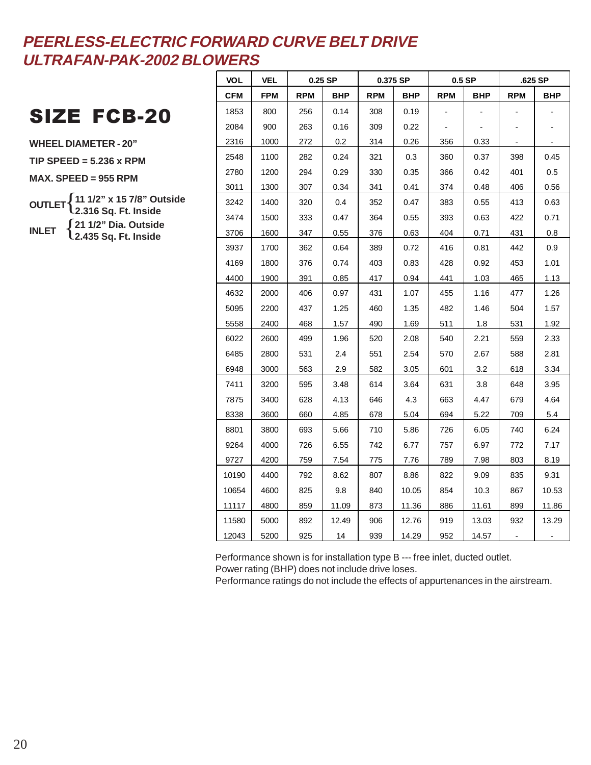## SIZE FCB-20

**WHEEL DIAMETER - 20" TIP SPEED = 5.236 x RPM MAX. SPEED = 955 RPM OUTLET** { **11 1/2" x 15 7/8" Outside INLET** { **21 1/2" Dia. Outside 2.316 Sq. Ft. Inside 2.435 Sq. Ft. Inside**

| <b>VOL</b> | <b>VEL</b> |            | $0.25$ SP  |            | 0.375 SP   |            | $0.5$ SP   |            | .625 SP    |
|------------|------------|------------|------------|------------|------------|------------|------------|------------|------------|
| <b>CFM</b> | <b>FPM</b> | <b>RPM</b> | <b>BHP</b> | <b>RPM</b> | <b>BHP</b> | <b>RPM</b> | <b>BHP</b> | <b>RPM</b> | <b>BHP</b> |
| 1853       | 800        | 256        | 0.14       | 308        | 0.19       |            |            |            |            |
| 2084       | 900        | 263        | 0.16       | 309        | 0.22       |            |            |            |            |
| 2316       | 1000       | 272        | 0.2        | 314        | 0.26       | 356        | 0.33       |            |            |
| 2548       | 1100       | 282        | 0.24       | 321        | 0.3        | 360        | 0.37       | 398        | 0.45       |
| 2780       | 1200       | 294        | 0.29       | 330        | 0.35       | 366        | 0.42       | 401        | 0.5        |
| 3011       | 1300       | 307        | 0.34       | 341        | 0.41       | 374        | 0.48       | 406        | 0.56       |
| 3242       | 1400       | 320        | 0.4        | 352        | 0.47       | 383        | 0.55       | 413        | 0.63       |
| 3474       | 1500       | 333        | 0.47       | 364        | 0.55       | 393        | 0.63       | 422        | 0.71       |
| 3706       | 1600       | 347        | 0.55       | 376        | 0.63       | 404        | 0.71       | 431        | 0.8        |
| 3937       | 1700       | 362        | 0.64       | 389        | 0.72       | 416        | 0.81       | 442        | 0.9        |
| 4169       | 1800       | 376        | 0.74       | 403        | 0.83       | 428        | 0.92       | 453        | 1.01       |
| 4400       | 1900       | 391        | 0.85       | 417        | 0.94       | 441        | 1.03       | 465        | 1.13       |
| 4632       | 2000       | 406        | 0.97       | 431        | 1.07       | 455        | 1.16       | 477        | 1.26       |
| 5095       | 2200       | 437        | 1.25       | 460        | 1.35       | 482        | 1.46       | 504        | 1.57       |
| 5558       | 2400       | 468        | 1.57       | 490        | 1.69       | 511        | 1.8        | 531        | 1.92       |
| 6022       | 2600       | 499        | 1.96       | 520        | 2.08       | 540        | 2.21       | 559        | 2.33       |
| 6485       | 2800       | 531        | 2.4        | 551        | 2.54       | 570        | 2.67       | 588        | 2.81       |
| 6948       | 3000       | 563        | 2.9        | 582        | 3.05       | 601        | 3.2        | 618        | 3.34       |
| 7411       | 3200       | 595        | 3.48       | 614        | 3.64       | 631        | 3.8        | 648        | 3.95       |
| 7875       | 3400       | 628        | 4.13       | 646        | 4.3        | 663        | 4.47       | 679        | 4.64       |
| 8338       | 3600       | 660        | 4.85       | 678        | 5.04       | 694        | 5.22       | 709        | 5.4        |
| 8801       | 3800       | 693        | 5.66       | 710        | 5.86       | 726        | 6.05       | 740        | 6.24       |
| 9264       | 4000       | 726        | 6.55       | 742        | 6.77       | 757        | 6.97       | 772        | 7.17       |
| 9727       | 4200       | 759        | 7.54       | 775        | 7.76       | 789        | 7.98       | 803        | 8.19       |
| 10190      | 4400       | 792        | 8.62       | 807        | 8.86       | 822        | 9.09       | 835        | 9.31       |
| 10654      | 4600       | 825        | 9.8        | 840        | 10.05      | 854        | 10.3       | 867        | 10.53      |
| 11117      | 4800       | 859        | 11.09      | 873        | 11.36      | 886        | 11.61      | 899        | 11.86      |
| 11580      | 5000       | 892        | 12.49      | 906        | 12.76      | 919        | 13.03      | 932        | 13.29      |
| 12043      | 5200       | 925        | 14         | 939        | 14.29      | 952        | 14.57      |            |            |

Performance shown is for installation type B --- free inlet, ducted outlet.

Power rating (BHP) does not include drive loses.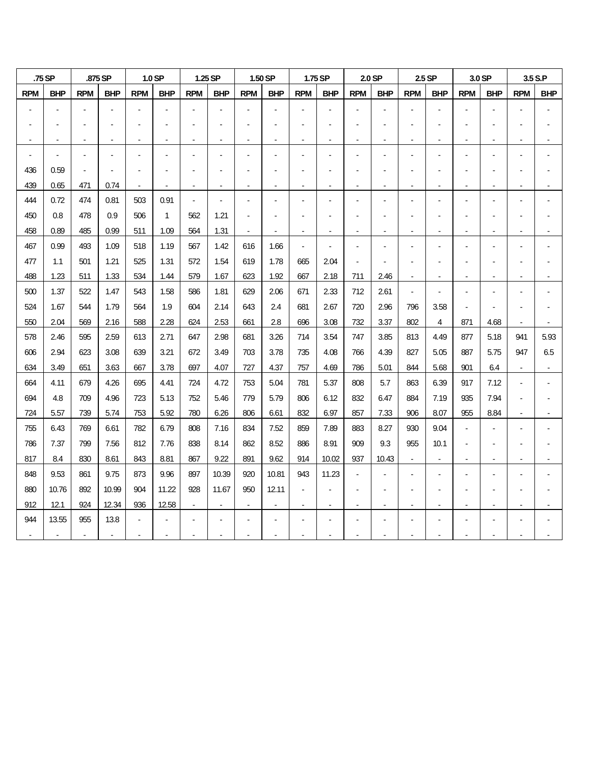|                | .75 SP                   |                | .875 SP        |                          | 1.0 SP                   |                          | 1.25 SP    |            | 1.50 SP    |                | 1.75 SP    |            | 2.0 SP     |                          | 2.5 SP                   |                | 3.0 SP     |            | 3.5 S.P                  |
|----------------|--------------------------|----------------|----------------|--------------------------|--------------------------|--------------------------|------------|------------|------------|----------------|------------|------------|------------|--------------------------|--------------------------|----------------|------------|------------|--------------------------|
| <b>RPM</b>     | <b>BHP</b>               | <b>RPM</b>     | <b>BHP</b>     | <b>RPM</b>               | <b>BHP</b>               | <b>RPM</b>               | <b>BHP</b> | <b>RPM</b> | <b>BHP</b> | <b>RPM</b>     | <b>BHP</b> | <b>RPM</b> | <b>BHP</b> | <b>RPM</b>               | <b>BHP</b>               | <b>RPM</b>     | <b>BHP</b> | <b>RPM</b> | <b>BHP</b>               |
|                |                          |                |                |                          |                          |                          |            |            |            |                |            |            |            |                          |                          |                |            |            |                          |
|                |                          |                |                |                          |                          |                          |            |            |            |                |            |            |            |                          |                          |                |            |            |                          |
|                |                          |                |                |                          |                          | $\overline{\phantom{a}}$ |            |            |            |                |            |            |            |                          |                          |                |            |            |                          |
|                |                          |                |                |                          |                          |                          |            |            |            |                |            |            |            |                          |                          |                |            |            |                          |
| 436            | 0.59                     |                |                |                          |                          |                          |            |            |            |                |            |            |            |                          |                          |                |            |            |                          |
| 439            | 0.65                     | 471            | 0.74           | $\overline{\phantom{a}}$ | $\overline{\phantom{a}}$ | $\overline{a}$           |            |            |            |                |            |            |            |                          |                          |                |            |            |                          |
| 444            | 0.72                     | 474            | 0.81           | 503                      | 0.91                     | $\blacksquare$           |            |            |            |                |            |            |            |                          |                          |                |            |            |                          |
| 450            | 0.8                      | 478            | 0.9            | 506                      | $\mathbf{1}$             | 562                      | 1.21       |            |            |                |            |            |            |                          |                          |                |            |            |                          |
| 458            | 0.89                     | 485            | 0.99           | 511                      | 1.09                     | 564                      | 1.31       |            |            |                |            |            |            |                          |                          |                |            |            |                          |
| 467            | 0.99                     | 493            | 1.09           | 518                      | 1.19                     | 567                      | 1.42       | 616        | 1.66       |                |            |            |            |                          |                          |                |            |            |                          |
| 477            | 1.1                      | 501            | 1.21           | 525                      | 1.31                     | 572                      | 1.54       | 619        | 1.78       | 665            | 2.04       |            |            |                          |                          |                |            |            |                          |
| 488            | 1.23                     | 511            | 1.33           | 534                      | 1.44                     | 579                      | 1.67       | 623        | 1.92       | 667            | 2.18       | 711        | 2.46       | $\blacksquare$           |                          |                |            |            |                          |
| 500            | 1.37                     | 522            | 1.47           | 543                      | 1.58                     | 586                      | 1.81       | 629        | 2.06       | 671            | 2.33       | 712        | 2.61       | $\overline{\phantom{a}}$ |                          |                |            |            |                          |
| 524            | 1.67                     | 544            | 1.79           | 564                      | 1.9                      | 604                      | 2.14       | 643        | 2.4        | 681            | 2.67       | 720        | 2.96       | 796                      | 3.58                     |                |            |            |                          |
| 550            | 2.04                     | 569            | 2.16           | 588                      | 2.28                     | 624                      | 2.53       | 661        | 2.8        | 696            | 3.08       | 732        | 3.37       | 802                      | 4                        | 871            | 4.68       |            |                          |
| 578            | 2.46                     | 595            | 2.59           | 613                      | 2.71                     | 647                      | 2.98       | 681        | 3.26       | 714            | 3.54       | 747        | 3.85       | 813                      | 4.49                     | 877            | 5.18       | 941        | 5.93                     |
| 606            | 2.94                     | 623            | 3.08           | 639                      | 3.21                     | 672                      | 3.49       | 703        | 3.78       | 735            | 4.08       | 766        | 4.39       | 827                      | 5.05                     | 887            | 5.75       | 947        | 6.5                      |
| 634            | 3.49                     | 651            | 3.63           | 667                      | 3.78                     | 697                      | 4.07       | 727        | 4.37       | 757            | 4.69       | 786        | 5.01       | 844                      | 5.68                     | 901            | 6.4        |            | $\overline{\phantom{a}}$ |
| 664            | 4.11                     | 679            | 4.26           | 695                      | 4.41                     | 724                      | 4.72       | 753        | 5.04       | 781            | 5.37       | 808        | 5.7        | 863                      | 6.39                     | 917            | 7.12       |            |                          |
| 694            | 4.8                      | 709            | 4.96           | 723                      | 5.13                     | 752                      | 5.46       | 779        | 5.79       | 806            | 6.12       | 832        | 6.47       | 884                      | 7.19                     | 935            | 7.94       |            |                          |
| 724            | 5.57                     | 739            | 5.74           | 753                      | 5.92                     | 780                      | 6.26       | 806        | 6.61       | 832            | 6.97       | 857        | 7.33       | 906                      | 8.07                     | 955            | 8.84       |            |                          |
| 755            | 6.43                     | 769            | 6.61           | 782                      | 6.79                     | 808                      | 7.16       | 834        | 7.52       | 859            | 7.89       | 883        | 8.27       | 930                      | 9.04                     |                |            |            |                          |
| 786            | 7.37                     | 799            | 7.56           | 812                      | 7.76                     | 838                      | 8.14       | 862        | 8.52       | 886            | 8.91       | 909        | 9.3        | 955                      | 10.1                     |                |            |            |                          |
| 817            | 8.4                      | 830            | 8.61           | 843                      | 8.81                     | 867                      | 9.22       | 891        | 9.62       | 914            | 10.02      | 937        | 10.43      | $\blacksquare$           | $\overline{\phantom{a}}$ | $\overline{a}$ |            |            |                          |
| 848            | 9.53                     | 861            | 9.75           | 873                      | 9.96                     | 897                      | 10.39      | 920        | 10.81      | 943            | 11.23      |            |            |                          |                          |                |            |            |                          |
| 880            | 10.76                    | 892            | 10.99          | 904                      | 11.22                    | 928                      | 11.67      | 950        | 12.11      | $\overline{a}$ |            |            |            |                          |                          |                |            |            |                          |
| 912            | 12.1                     | 924            | 12.34          | 936                      | 12.58                    | $\overline{\phantom{a}}$ |            |            |            |                |            |            |            |                          |                          |                |            |            |                          |
| 944            | 13.55                    | 955            | 13.8           |                          |                          |                          |            |            |            |                |            |            |            |                          |                          |                |            |            |                          |
| $\blacksquare$ | $\overline{\phantom{0}}$ | $\blacksquare$ | $\blacksquare$ |                          | $\blacksquare$           |                          |            |            |            |                |            |            |            |                          |                          |                |            |            |                          |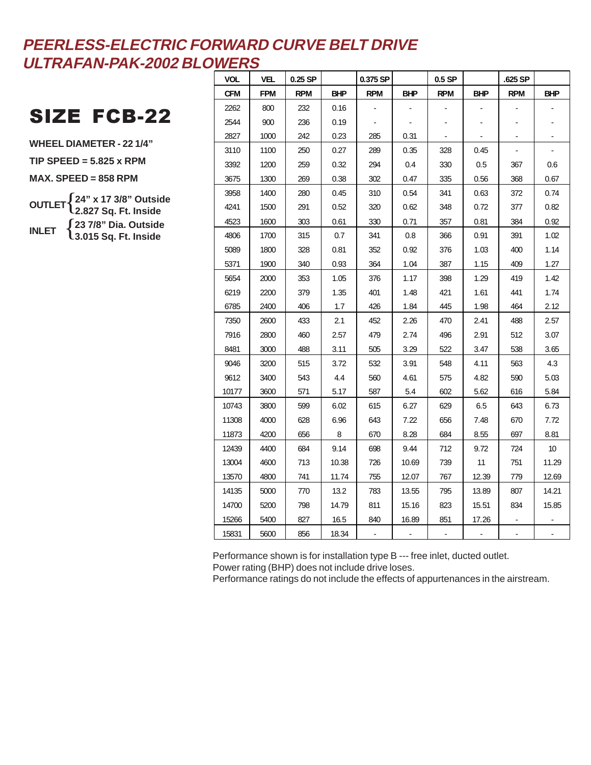## SIZE FCB-22

**WHEEL DIAMETER - 22 1/4" TIP SPEED = 5.825 x RPM MAX. SPEED = 858 RPM OUTLET** { **24" x 17 3/8" Outside INLET** { **23 7/8" Dia. Outside 2.827 Sq. Ft. Inside 3.015 Sq. Ft. Inside**

| <b>VOL</b> | <b>VEL</b> | $0.25$ SP  |            | 0.375 SP   |            | $0.5$ SP   |            | .625 SP    |            |
|------------|------------|------------|------------|------------|------------|------------|------------|------------|------------|
| <b>CFM</b> | <b>FPM</b> | <b>RPM</b> | <b>BHP</b> | <b>RPM</b> | <b>BHP</b> | <b>RPM</b> | <b>BHP</b> | <b>RPM</b> | <b>BHP</b> |
| 2262       | 800        | 232        | 0.16       |            |            |            |            |            |            |
| 2544       | 900        | 236        | 0.19       |            |            |            |            |            |            |
| 2827       | 1000       | 242        | 0.23       | 285        | 0.31       |            |            |            |            |
| 3110       | 1100       | 250        | 0.27       | 289        | 0.35       | 328        | 0.45       |            |            |
| 3392       | 1200       | 259        | 0.32       | 294        | 0.4        | 330        | 0.5        | 367        | 0.6        |
| 3675       | 1300       | 269        | 0.38       | 302        | 0.47       | 335        | 0.56       | 368        | 0.67       |
| 3958       | 1400       | 280        | 0.45       | 310        | 0.54       | 341        | 0.63       | 372        | 0.74       |
| 4241       | 1500       | 291        | 0.52       | 320        | 0.62       | 348        | 0.72       | 377        | 0.82       |
| 4523       | 1600       | 303        | 0.61       | 330        | 0.71       | 357        | 0.81       | 384        | 0.92       |
| 4806       | 1700       | 315        | 0.7        | 341        | 0.8        | 366        | 0.91       | 391        | 1.02       |
| 5089       | 1800       | 328        | 0.81       | 352        | 0.92       | 376        | 1.03       | 400        | 1.14       |
| 5371       | 1900       | 340        | 0.93       | 364        | 1.04       | 387        | 1.15       | 409        | 1.27       |
| 5654       | 2000       | 353        | 1.05       | 376        | 1.17       | 398        | 1.29       | 419        | 1.42       |
| 6219       | 2200       | 379        | 1.35       | 401        | 1.48       | 421        | 1.61       | 441        | 1.74       |
| 6785       | 2400       | 406        | 1.7        | 426        | 1.84       | 445        | 1.98       | 464        | 2.12       |
| 7350       | 2600       | 433        | 2.1        | 452        | 2.26       | 470        | 2.41       | 488        | 2.57       |
| 7916       | 2800       | 460        | 2.57       | 479        | 2.74       | 496        | 2.91       | 512        | 3.07       |
| 8481       | 3000       | 488        | 3.11       | 505        | 3.29       | 522        | 3.47       | 538        | 3.65       |
| 9046       | 3200       | 515        | 3.72       | 532        | 3.91       | 548        | 4.11       | 563        | 4.3        |
| 9612       | 3400       | 543        | 4.4        | 560        | 4.61       | 575        | 4.82       | 590        | 5.03       |
| 10177      | 3600       | 571        | 5.17       | 587        | 5.4        | 602        | 5.62       | 616        | 5.84       |
| 10743      | 3800       | 599        | 6.02       | 615        | 6.27       | 629        | 6.5        | 643        | 6.73       |
| 11308      | 4000       | 628        | 6.96       | 643        | 7.22       | 656        | 7.48       | 670        | 7.72       |
| 11873      | 4200       | 656        | 8          | 670        | 8.28       | 684        | 8.55       | 697        | 8.81       |
| 12439      | 4400       | 684        | 9.14       | 698        | 9.44       | 712        | 9.72       | 724        | 10         |
| 13004      | 4600       | 713        | 10.38      | 726        | 10.69      | 739        | 11         | 751        | 11.29      |
| 13570      | 4800       | 741        | 11.74      | 755        | 12.07      | 767        | 12.39      | 779        | 12.69      |
| 14135      | 5000       | 770        | 13.2       | 783        | 13.55      | 795        | 13.89      | 807        | 14.21      |
| 14700      | 5200       | 798        | 14.79      | 811        | 15.16      | 823        | 15.51      | 834        | 15.85      |
| 15266      | 5400       | 827        | 16.5       | 840        | 16.89      | 851        | 17.26      |            |            |
| 15831      | 5600       | 856        | 18.34      |            |            |            |            |            |            |

Performance shown is for installation type B --- free inlet, ducted outlet. Power rating (BHP) does not include drive loses.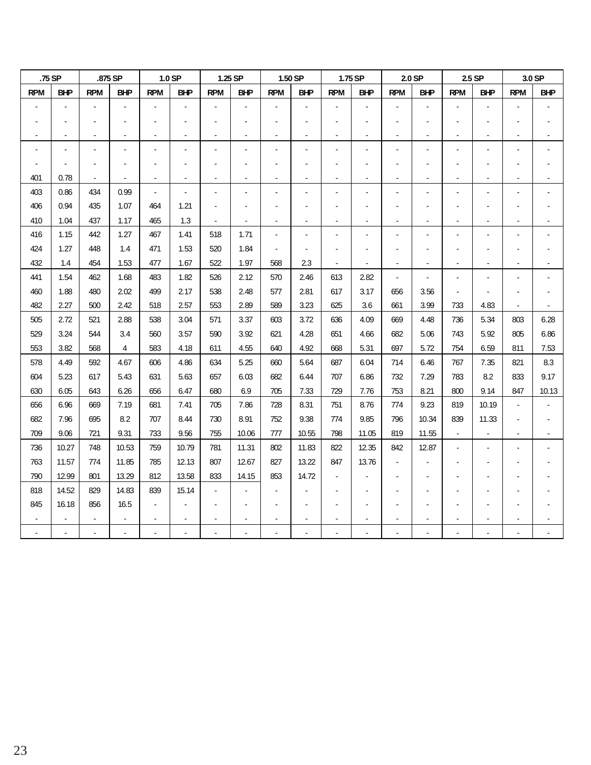|            | .75 SP                   |                          | .875 SP                  |                | 1.0 SP         |                          | 1.25 SP                  |                | 1.50 SP                  |                          | 1.75 SP                  |                          | 2.0 SP         |                          | 2.5 SP                   |            | 3.0 SP         |
|------------|--------------------------|--------------------------|--------------------------|----------------|----------------|--------------------------|--------------------------|----------------|--------------------------|--------------------------|--------------------------|--------------------------|----------------|--------------------------|--------------------------|------------|----------------|
| <b>RPM</b> | <b>BHP</b>               | <b>RPM</b>               | <b>BHP</b>               | <b>RPM</b>     | <b>BHP</b>     | <b>RPM</b>               | <b>BHP</b>               | <b>RPM</b>     | <b>BHP</b>               | <b>RPM</b>               | BHP                      | <b>RPM</b>               | <b>BHP</b>     | <b>RPM</b>               | <b>BHP</b>               | <b>RPM</b> | <b>BHP</b>     |
|            |                          |                          |                          |                |                |                          |                          |                |                          |                          |                          |                          |                |                          |                          |            |                |
|            |                          |                          |                          |                |                |                          |                          |                |                          |                          |                          |                          |                |                          |                          |            |                |
|            | $\overline{\phantom{a}}$ | $\overline{\phantom{a}}$ | $\overline{\phantom{a}}$ | $\blacksquare$ |                | $\overline{\phantom{a}}$ | $\overline{\phantom{a}}$ | $\blacksquare$ | $\overline{\phantom{a}}$ | $\overline{\phantom{a}}$ | $\overline{\phantom{a}}$ | $\blacksquare$           | $\blacksquare$ | $\overline{\phantom{a}}$ | $\overline{\phantom{a}}$ |            | $\blacksquare$ |
|            |                          |                          |                          |                |                |                          |                          |                |                          |                          |                          |                          |                | ٠                        |                          |            |                |
|            |                          |                          |                          |                |                |                          |                          |                |                          |                          |                          |                          |                |                          |                          |            |                |
| 401        | 0.78                     |                          |                          |                |                |                          |                          |                |                          |                          |                          |                          |                |                          |                          |            |                |
| 403        | 0.86                     | 434                      | 0.99                     | $\blacksquare$ | $\blacksquare$ |                          |                          |                | L.                       | $\overline{a}$           | $\blacksquare$           | ÷,                       |                | $\overline{a}$           |                          |            |                |
| 406        | 0.94                     | 435                      | 1.07                     | 464            | 1.21           | $\overline{a}$           |                          |                |                          |                          |                          |                          |                |                          |                          |            |                |
| 410        | 1.04                     | 437                      | 1.17                     | 465            | 1.3            | $\overline{\phantom{a}}$ |                          |                | ÷,                       | $\blacksquare$           | $\overline{a}$           |                          |                | ÷,                       |                          |            |                |
| 416        | 1.15                     | 442                      | 1.27                     | 467            | 1.41           | 518                      | 1.71                     |                |                          |                          | $\blacksquare$           |                          |                | $\overline{a}$           |                          |            |                |
| 424        | 1.27                     | 448                      | 1.4                      | 471            | 1.53           | 520                      | 1.84                     |                |                          |                          |                          |                          |                |                          |                          |            |                |
| 432        | 1.4                      | 454                      | 1.53                     | 477            | 1.67           | 522                      | 1.97                     | 568            | 23                       | $\overline{\phantom{a}}$ | $\overline{\phantom{a}}$ | $\overline{\phantom{a}}$ |                | $\overline{\phantom{a}}$ | $\overline{\phantom{a}}$ |            |                |
| 441        | 1.54                     | 462                      | 1.68                     | 483            | 1.82           | 526                      | 2.12                     | 570            | 2.46                     | 613                      | 2.82                     | ٠                        |                |                          |                          |            |                |
| 460        | 1.88                     | 480                      | 2.02                     | 499            | 2.17           | 538                      | 2.48                     | 577            | 2.81                     | 617                      | 3.17                     | 656                      | 3.56           | $\overline{\phantom{a}}$ |                          |            |                |
| 482        | 2.27                     | 500                      | 2.42                     | 518            | 2.57           | 553                      | 2.89                     | 589            | 3.23                     | 625                      | 3.6                      | 661                      | 3.99           | 733                      | 4.83                     |            |                |
| 505        | 2.72                     | 521                      | 2.88                     | 538            | 3.04           | 571                      | 3.37                     | 603            | 3.72                     | 636                      | 4.09                     | 669                      | 4.48           | 736                      | 5.34                     | 803        | 6.28           |
| 529        | 3.24                     | 544                      | 3.4                      | 560            | 3.57           | 590                      | 3.92                     | 621            | 4.28                     | 651                      | 4.66                     | 682                      | 5.06           | 743                      | 5.92                     | 805        | 6.86           |
| 553        | 3.82                     | 568                      | 4                        | 583            | 4.18           | 611                      | 4.55                     | 640            | 4.92                     | 668                      | 5.31                     | 697                      | 5.72           | 754                      | 6.59                     | 811        | 7.53           |
| 578        | 4.49                     | 592                      | 4.67                     | 606            | 4.86           | 634                      | 5.25                     | 660            | 5.64                     | 687                      | 6.04                     | 714                      | 6.46           | 767                      | 7.35                     | 821        | 8.3            |
| 604        | 5.23                     | 617                      | 5.43                     | 631            | 5.63           | 657                      | 6.03                     | 682            | 6.44                     | 707                      | 6.86                     | 732                      | 7.29           | 783                      | 8.2                      | 833        | 9.17           |
| 630        | 6.05                     | 643                      | 6.26                     | 656            | 6.47           | 680                      | 6.9                      | 705            | 7.33                     | 729                      | 7.76                     | 753                      | 8.21           | 800                      | 9.14                     | 847        | 10.13          |
| 656        | 6.96                     | 669                      | 7.19                     | 681            | 7.41           | 705                      | 7.86                     | 728            | 8.31                     | 751                      | 8.76                     | 774                      | 9.23           | 819                      | 10.19                    |            |                |
| 682        | 7.96                     | 695                      | 8.2                      | 707            | 8.44           | 730                      | 8.91                     | 752            | 9.38                     | 774                      | 9.85                     | 796                      | 10.34          | 839                      | 11.33                    |            |                |
| 709        | 9.06                     | 721                      | 9.31                     | 733            | 9.56           | 755                      | 10.06                    | 777            | 10.55                    | 798                      | 11.05                    | 819                      | 11.55          | $\blacksquare$           |                          |            |                |
| 736        | 10.27                    | 748                      | 10.53                    | 759            | 10.79          | 781                      | 11.31                    | 802            | 11.83                    | 822                      | 12.35                    | 842                      | 12.87          | $\blacksquare$           |                          |            |                |
| 763        | 11.57                    | 774                      | 11.85                    | 785            | 12.13          | 807                      | 12.67                    | 827            | 13.22                    | 847                      | 13.76                    |                          |                |                          |                          |            |                |
| 790        | 12.99                    | 801                      | 13.29                    | 812            | 13.58          | 833                      | 14.15                    | 853            | 14.72                    |                          |                          |                          |                |                          |                          |            |                |
| 818        | 14.52                    | 829                      | 14.83                    | 839            | 15.14          |                          |                          |                |                          |                          |                          |                          |                |                          |                          |            |                |
| 845        | 16.18                    | 856                      | 16.5                     |                |                |                          |                          |                |                          |                          |                          |                          |                |                          |                          |            |                |
|            |                          |                          |                          |                |                |                          |                          |                |                          |                          |                          |                          |                |                          |                          |            |                |
|            |                          |                          |                          |                |                |                          |                          |                |                          |                          |                          |                          |                |                          |                          |            |                |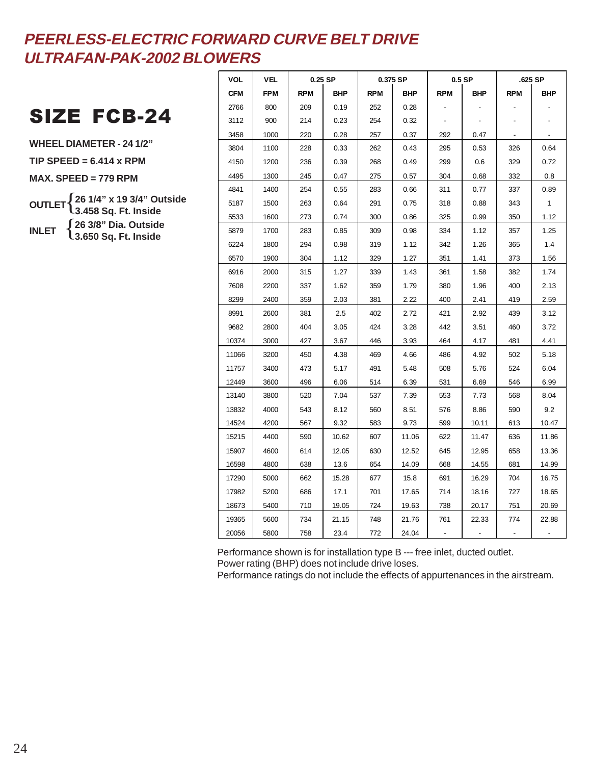## SIZE FCB-24

**WHEEL DIAMETER - 24 1/2" TIP SPEED = 6.414 x RPM MAX. SPEED = 779 RPM OUTLET** { **26 1/4" x 19 3/4" Outside INLET** { **26 3/8" Dia. Outside 3.458 Sq. Ft. Inside 3.650 Sq. Ft. Inside**

| VOL   | VEL        |            | $0.25$ SP  |            | 0.375 SP   |            | $0.5$ SP |            | .625 SP      |
|-------|------------|------------|------------|------------|------------|------------|----------|------------|--------------|
| CFM   | <b>FPM</b> | <b>RPM</b> | <b>BHP</b> | <b>RPM</b> | <b>BHP</b> | <b>RPM</b> | BHP      | <b>RPM</b> | BHP          |
| 2766  | 800        | 209        | 0.19       | 252        | 0.28       |            |          |            |              |
| 3112  | 900        | 214        | 0.23       | 254        | 0.32       |            |          |            |              |
| 3458  | 1000       | 220        | 0.28       | 257        | 0.37       | 292        | 0.47     |            |              |
| 3804  | 1100       | 228        | 0.33       | 262        | 0.43       | 295        | 0.53     | 326        | 0.64         |
| 4150  | 1200       | 236        | 0.39       | 268        | 0.49       | 299        | 0.6      | 329        | 0.72         |
| 4495  | 1300       | 245        | 0.47       | 275        | 0.57       | 304        | 0.68     | 332        | 0.8          |
| 4841  | 1400       | 254        | 0.55       | 283        | 0.66       | 311        | 0.77     | 337        | 0.89         |
| 5187  | 1500       | 263        | 0.64       | 291        | 0.75       | 318        | 0.88     | 343        | $\mathbf{1}$ |
| 5533  | 1600       | 273        | 0.74       | 300        | 0.86       | 325        | 0.99     | 350        | 1.12         |
| 5879  | 1700       | 283        | 0.85       | 309        | 0.98       | 334        | 1.12     | 357        | 1.25         |
| 6224  | 1800       | 294        | 0.98       | 319        | 1.12       | 342        | 1.26     | 365        | 1.4          |
| 6570  | 1900       | 304        | 1.12       | 329        | 1.27       | 351        | 1.41     | 373        | 1.56         |
| 6916  | 2000       | 315        | 1.27       | 339        | 1.43       | 361        | 1.58     | 382        | 1.74         |
| 7608  | 2200       | 337        | 1.62       | 359        | 1.79       | 380        | 1.96     | 400        | 2.13         |
| 8299  | 2400       | 359        | 2.03       | 381        | 2.22       | 400        | 2.41     | 419        | 2.59         |
| 8991  | 2600       | 381        | 2.5        | 402        | 2.72       | 421        | 2.92     | 439        | 3.12         |
| 9682  | 2800       | 404        | 3.05       | 424        | 3.28       | 442        | 3.51     | 460        | 3.72         |
| 10374 | 3000       | 427        | 3.67       | 446        | 3.93       | 464        | 4.17     | 481        | 4.41         |
| 11066 | 3200       | 450        | 4.38       | 469        | 4.66       | 486        | 4.92     | 502        | 5.18         |
| 11757 | 3400       | 473        | 5.17       | 491        | 5.48       | 508        | 5.76     | 524        | 6.04         |
| 12449 | 3600       | 496        | 6.06       | 514        | 6.39       | 531        | 6.69     | 546        | 6.99         |
| 13140 | 3800       | 520        | 7.04       | 537        | 7.39       | 553        | 7.73     | 568        | 8.04         |
| 13832 | 4000       | 543        | 8.12       | 560        | 8.51       | 576        | 8.86     | 590        | 9.2          |
| 14524 | 4200       | 567        | 9.32       | 583        | 9.73       | 599        | 10.11    | 613        | 10.47        |
| 15215 | 4400       | 590        | 10.62      | 607        | 11.06      | 622        | 11.47    | 636        | 11.86        |
| 15907 | 4600       | 614        | 12.05      | 630        | 12.52      | 645        | 12.95    | 658        | 13.36        |
| 16598 | 4800       | 638        | 13.6       | 654        | 14.09      | 668        | 14.55    | 681        | 14.99        |
| 17290 | 5000       | 662        | 15.28      | 677        | 15.8       | 691        | 16.29    | 704        | 16.75        |
| 17982 | 5200       | 686        | 17.1       | 701        | 17.65      | 714        | 18.16    | 727        | 18.65        |
| 18673 | 5400       | 710        | 19.05      | 724        | 19.63      | 738        | 20.17    | 751        | 20.69        |
| 19365 | 5600       | 734        | 21.15      | 748        | 21.76      | 761        | 22.33    | 774        | 22.88        |
| 20056 | 5800       | 758        | 23.4       | 772        | 24.04      |            |          |            |              |

Performance shown is for installation type B --- free inlet, ducted outlet.

Power rating (BHP) does not include drive loses.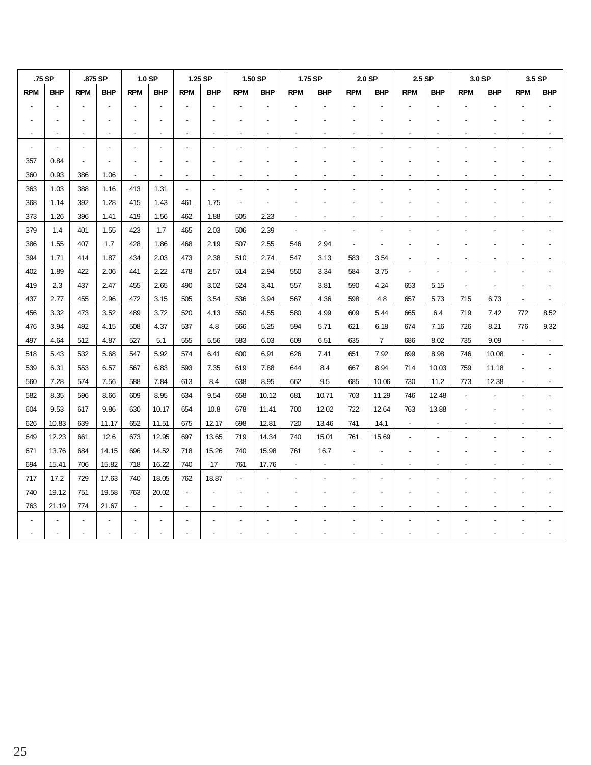|                | .75 SP     | .875 SP    |            | 1.0 SP         |            |                | 1.25 SP        |                          | 1.50 SP        |                          | 1.75 SP                  | 2.0 SP                   |                |                          | 2.5 SP                   |                          | 3.0 SP                   |                | 3.5 SP     |
|----------------|------------|------------|------------|----------------|------------|----------------|----------------|--------------------------|----------------|--------------------------|--------------------------|--------------------------|----------------|--------------------------|--------------------------|--------------------------|--------------------------|----------------|------------|
| <b>RPM</b>     | <b>BHP</b> | <b>RPM</b> | <b>BHP</b> | <b>RPM</b>     | <b>BHP</b> | <b>RPM</b>     | <b>BHP</b>     | <b>RPM</b>               | <b>BHP</b>     | <b>RPM</b>               | <b>BHP</b>               | <b>RPM</b>               | <b>BHP</b>     | <b>RPM</b>               | <b>BHP</b>               | <b>RPM</b>               | <b>BHP</b>               | <b>RPM</b>     | <b>BHP</b> |
|                |            |            |            |                |            |                |                |                          |                |                          |                          |                          |                |                          |                          |                          |                          |                |            |
|                |            |            |            | $\overline{a}$ |            |                |                |                          |                |                          |                          |                          |                |                          |                          |                          |                          |                |            |
|                |            |            |            |                |            |                |                |                          |                |                          |                          |                          |                |                          |                          |                          |                          |                |            |
| $\blacksquare$ |            |            |            | $\overline{a}$ |            |                |                |                          |                |                          |                          |                          |                |                          |                          |                          |                          |                |            |
| 357            | 0.84       |            |            |                |            |                |                |                          |                |                          |                          |                          |                |                          |                          |                          |                          |                |            |
| 360            | 0.93       | 386        | 1.06       | $\blacksquare$ |            |                |                |                          | $\blacksquare$ |                          |                          |                          |                |                          |                          |                          |                          |                |            |
| 363            | 1.03       | 388        | 1.16       | 413            | 1.31       | $\overline{a}$ | $\overline{a}$ | $\overline{\phantom{a}}$ |                |                          |                          |                          |                |                          |                          |                          |                          |                |            |
| 368            | 1.14       | 392        | 1.28       | 415            | 1.43       | 461            | 1.75           | $\overline{a}$           |                |                          |                          |                          |                |                          |                          |                          |                          |                |            |
| 373            | 1.26       | 396        | 1.41       | 419            | 1.56       | 462            | 1.88           | 505                      | 2.23           | $\overline{\phantom{a}}$ |                          |                          | $\overline{a}$ | $\overline{\phantom{a}}$ |                          |                          |                          |                |            |
| 379            | 1.4        | 401        | 1.55       | 423            | 1.7        | 465            | 2.03           | 506                      | 2.39           | $\overline{\phantom{a}}$ |                          |                          |                |                          |                          |                          |                          |                |            |
| 386            | 1.55       | 407        | 1.7        | 428            | 1.86       | 468            | 2.19           | 507                      | 2.55           | 546                      | 2.94                     |                          |                |                          |                          |                          |                          |                |            |
| 394            | 1.71       | 414        | 1.87       | 434            | 2.03       | 473            | 2.38           | 510                      | 2.74           | 547                      | 3.13                     | 583                      | 3.54           | $\overline{\phantom{a}}$ | $\overline{\phantom{a}}$ | $\overline{\phantom{a}}$ | $\overline{\phantom{a}}$ |                |            |
| 402            | 1.89       | 422        | 2.06       | 441            | 2.22       | 478            | 2.57           | 514                      | 2.94           | 550                      | 3.34                     | 584                      | 3.75           |                          |                          |                          |                          |                |            |
| 419            | 2.3        | 437        | 2.47       | 455            | 2.65       | 490            | 3.02           | 524                      | 3.41           | 557                      | 3.81                     | 590                      | 4.24           | 653                      | 5.15                     |                          |                          |                |            |
| 437            | 2.77       | 455        | 2.96       | 472            | 3.15       | 505            | 3.54           | 536                      | 3.94           | 567                      | 4.36                     | 598                      | 4.8            | 657                      | 5.73                     | 715                      | 6.73                     | $\overline{a}$ |            |
| 456            | 3.32       | 473        | 3.52       | 489            | 3.72       | 520            | 4.13           | 550                      | 4.55           | 580                      | 4.99                     | 609                      | 5.44           | 665                      | 6.4                      | 719                      | 7.42                     | 772            | 8.52       |
| 476            | 3.94       | 492        | 4.15       | 508            | 4.37       | 537            | 4.8            | 566                      | 5.25           | 594                      | 5.71                     | 621                      | 6.18           | 674                      | 7.16                     | 726                      | 8.21                     | 776            | 9.32       |
| 497            | 4.64       | 512        | 4.87       | 527            | 5.1        | 555            | 5.56           | 583                      | 6.03           | 609                      | 6.51                     | 635                      | $\overline{7}$ | 686                      | 8.02                     | 735                      | 9.09                     |                |            |
| 518            | 5.43       | 532        | 5.68       | 547            | 5.92       | 574            | 6.41           | 600                      | 6.91           | 626                      | 7.41                     | 651                      | 7.92           | 699                      | 8.98                     | 746                      | 10.08                    |                |            |
| 539            | 6.31       | 553        | 6.57       | 567            | 6.83       | 593            | 7.35           | 619                      | 7.88           | 644                      | 8.4                      | 667                      | 8.94           | 714                      | 10.03                    | 759                      | 11.18                    |                |            |
| 560            | 7.28       | 574        | 7.56       | 588            | 7.84       | 613            | 8.4            | 638                      | 8.95           | 662                      | 9.5                      | 685                      | 10.06          | 730                      | 11.2                     | 773                      | 12.38                    |                |            |
| 582            | 8.35       | 596        | 8.66       | 609            | 8.95       | 634            | 9.54           | 658                      | 10.12          | 681                      | 10.71                    | 703                      | 11.29          | 746                      | 12.48                    |                          |                          |                |            |
| 604            | 9.53       | 617        | 9.86       | 630            | 10.17      | 654            | 10.8           | 678                      | 11.41          | 700                      | 12.02                    | 722                      | 12.64          | 763                      | 13.88                    |                          |                          |                |            |
| 626            | 10.83      | 639        | 11.17      | 652            | 11.51      | 675            | 12.17          | 698                      | 12.81          | 720                      | 13.46                    | 741                      | 14.1           | $\overline{a}$           | $\overline{\phantom{a}}$ | $\overline{a}$           | $\overline{a}$           |                |            |
| 649            | 12.23      | 661        | 12.6       | 673            | 12.95      | 697            | 13.65          | 719                      | 14.34          | 740                      | 15.01                    | 761                      | 15.69          | $\overline{a}$           |                          |                          |                          |                |            |
| 671            | 13.76      | 684        | 14.15      | 696            | 14.52      | 718            | 15.26          | 740                      | 15.98          | 761                      | 16.7                     | $\blacksquare$           |                |                          |                          |                          |                          |                |            |
| 694            | 15.41      | 706        | 15.82      | 718            | 16.22      | 740            | 17             | 761                      | 17.76          | $\sim$                   | $\overline{\phantom{a}}$ | $\overline{\phantom{a}}$ | $\overline{a}$ | $\overline{\phantom{0}}$ | $\overline{a}$           |                          |                          |                |            |
| 717            | 17.2       | 729        | 17.63      | 740            | 18.05      | 762            | 18.87          |                          |                |                          |                          |                          |                |                          |                          |                          |                          |                |            |
| 740            | 19.12      | 751        | 19.58      | 763            | 20.02      |                |                |                          |                |                          |                          |                          |                |                          |                          |                          |                          |                |            |
| 763            | 21.19      | 774        | 21.67      | $\blacksquare$ | $\sim$     | $\blacksquare$ | $\blacksquare$ | $\overline{\phantom{a}}$ | $\blacksquare$ | $\overline{a}$           | $\overline{a}$           |                          | $\overline{a}$ | $\blacksquare$           | $\blacksquare$           | $\overline{a}$           | $\overline{a}$           |                |            |
|                |            |            |            |                |            |                |                |                          |                |                          |                          |                          |                |                          |                          |                          |                          |                |            |
|                |            |            |            |                |            |                |                |                          |                |                          |                          |                          |                |                          |                          |                          |                          |                |            |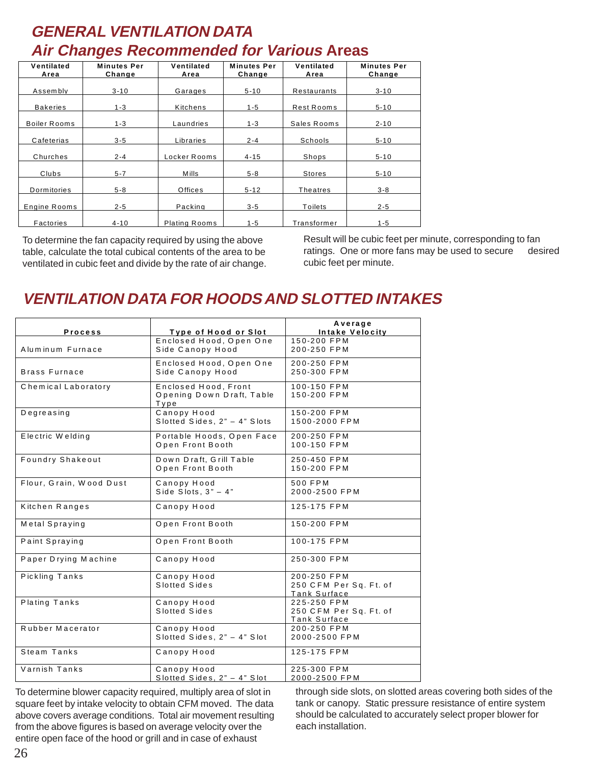## **GENERAL VENTILATION DATA Air Changes Recommended for Various Areas**

| Ventilated<br>Area  | <b>Minutes Per</b><br>Change | Ventilated<br>Area   | <b>Minutes Per</b><br>Change | Ventilated<br>Area | <b>Minutes Per</b><br>Change |
|---------------------|------------------------------|----------------------|------------------------------|--------------------|------------------------------|
|                     |                              |                      |                              |                    |                              |
| Assembly            | $3 - 10$                     | Garages              | $5 - 10$                     | Restaurants        | $3 - 10$                     |
| <b>Bakeries</b>     | $1 - 3$                      | Kitchens             | $1 - 5$                      | Rest Rooms         | $5 - 10$                     |
| <b>Boiler Rooms</b> | $1 - 3$                      | Laundries            | $1 - 3$                      | Sales Rooms        | $2 - 10$                     |
| Cafeterias          | $3 - 5$                      | Libraries            | $2 - 4$                      | Schools            | $5 - 10$                     |
| Churches            | $2 - 4$                      | Locker Rooms         | $4 - 15$                     | Shops              | $5 - 10$                     |
| Clubs               | $5 - 7$                      | <b>Mills</b>         | $5 - 8$                      | <b>Stores</b>      | $5 - 10$                     |
| Dormitories         | $5 - 8$                      | <b>Offices</b>       | $5 - 12$                     | Theatres           | $3 - 8$                      |
| <b>Engine Rooms</b> | $2 - 5$                      | Packing              | $3 - 5$                      | Toilets            | $2 - 5$                      |
| Factories           | $4 - 10$                     | <b>Plating Rooms</b> | $1 - 5$                      | Transformer        | $1 - 5$                      |

To determine the fan capacity required by using the above table, calculate the total cubical contents of the area to be ventilated in cubic feet and divide by the rate of air change. Result will be cubic feet per minute, corresponding to fan ratings. One or more fans may be used to secure desired cubic feet per minute.

## **VENTILATION DATA FOR HOODS AND SLOTTED INTAKES**

|                         |                              | Average                |
|-------------------------|------------------------------|------------------------|
| <b>Process</b>          | Type of Hood or Slot         | Intake Velocity        |
|                         | Enclosed Hood, Open One      | 150-200 FPM            |
| Aluminum Furnace        | Side Canopy Hood             | 200-250 FPM            |
|                         | Enclosed Hood, Open One      | 200-250 FPM            |
| <b>Brass Furnace</b>    | Side Canopy Hood             | 250-300 FPM            |
|                         |                              |                        |
| Chemical Laboratory     | Enclosed Hood, Front         | 100-150 FPM            |
|                         | Opening Down Draft, Table    | 150-200 FPM            |
|                         | Type                         |                        |
| Degreasing              | Canopy Hood                  | 150-200 FPM            |
|                         | Slotted Sides, 2" - 4" Slots | 1500-2000 FPM          |
| Electric Welding        | Portable Hoods, Open Face    | 200-250 FPM            |
|                         | Open Front Booth             | 100-150 FPM            |
|                         |                              |                        |
| <b>Foundry Shakeout</b> | Down Draft, Grill Table      | 250-450 FPM            |
|                         | Open Front Booth             | 150-200 FPM            |
| Flour, Grain, Wood Dust | Canopy Hood                  | 500 FPM                |
|                         | Side Slots, $3" - 4"$        | 2000-2500 FPM          |
|                         |                              |                        |
| Kitchen Ranges          | Canopy Hood                  | 125-175 FPM            |
| Metal Spraying          | Open Front Booth             | 150-200 FPM            |
|                         |                              |                        |
| Paint Spraying          | Open Front Booth             | 100-175 FPM            |
|                         |                              |                        |
| Paper Drying Machine    | Canopy Hood                  | 250-300 FPM            |
|                         |                              |                        |
| Pickling Tanks          | Canopy Hood                  | 200-250 FPM            |
|                         | Slotted Sides                | 250 CFM Per Sq. Ft. of |
|                         |                              | Tank Surface           |
| Plating Tanks           | Canopy Hood                  | 225-250 FPM            |
|                         | Slotted Sides                | 250 CFM Per Sq. Ft. of |
|                         |                              | Tank Surface           |
| Rubber Macerator        | Canopy Hood                  | 200-250 FPM            |
|                         | Slotted Sides, 2" - 4" Slot  | 2000-2500 FPM          |
| Steam Tanks             | Canopy Hood                  | 125-175 FPM            |
|                         |                              |                        |
| Varnish Tanks           | Canopy Hood                  | 225-300 FPM            |
|                         | Slotted Sides, 2" - 4" Slot  | 2000-2500 FPM          |

To determine blower capacity required, multiply area of slot in square feet by intake velocity to obtain CFM moved. The data above covers average conditions. Total air movement resulting from the above figures is based on average velocity over the entire open face of the hood or grill and in case of exhaust

through side slots, on slotted areas covering both sides of the tank or canopy. Static pressure resistance of entire system should be calculated to accurately select proper blower for each installation.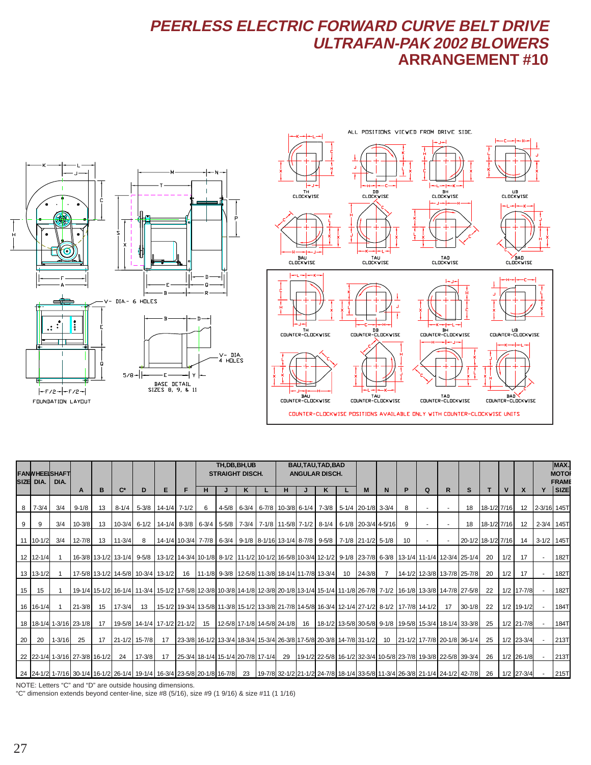### **PEERLESS ELECTRIC FORWARD CURVE BELT DRIVE ULTRAFAN-PAK 2002 BLOWERS ARRANGEMENT #10**





|    | SIZE DIA.         | <b>FANWHEEISHAFT</b><br>DIA. |                                |    |                |                                                                                                                                            |                    |   | TH, DB, BH, UB<br><b>STRAIGHT DISCH.</b> |  |   |  | BAU, TAU, TAD, BAD<br><b>ANGULAR DISCH.</b>                                  |    |   |    |            |                |    |                                                                                                      |    |                    |             |              |                 | MAX.<br><b>MOTO</b><br><b>FRAMI</b> |      |
|----|-------------------|------------------------------|--------------------------------|----|----------------|--------------------------------------------------------------------------------------------------------------------------------------------|--------------------|---|------------------------------------------|--|---|--|------------------------------------------------------------------------------|----|---|----|------------|----------------|----|------------------------------------------------------------------------------------------------------|----|--------------------|-------------|--------------|-----------------|-------------------------------------|------|
|    |                   |                              | A                              | в  | $\mathbf{C}^*$ | D                                                                                                                                          | Е                  | F | н                                        |  | κ |  | н                                                                            |    | ĸ |    | M          | N              | P  | Q                                                                                                    | R  | <sub>S</sub>       | T           | $\mathbf{V}$ | $\mathsf{x}$    |                                     | SIZE |
|    | $8 \quad 7 - 3/4$ | 3/4                          | $9 - 1/8$                      | 13 | $8 - 1/4$      |                                                                                                                                            | 5-3/8 14-1/4 7-1/2 |   | 6                                        |  |   |  | 4-5/8 6-3/4 6-7/8 10-3/8 6-1/4 7-3/8 5-1/4 20-1/8 3-3/4                      |    |   |    |            |                | 8  |                                                                                                      |    | 18                 | 18-1/2 7/16 |              | 12 <sup>°</sup> | 2-3/16 145T                         |      |
|    | 9                 | 3/4                          | $10 - 3/8$                     | 13 |                | 10-3/4 6-1/2 14-1/4 8-3/8 6-3/4 5-5/8 7-3/4 7-1/8 11-5/8 7-1/2 8-1/4 6-1/8 20-3/4 4-5/16                                                   |                    |   |                                          |  |   |  |                                                                              |    |   |    |            |                | 9  |                                                                                                      |    | 18                 | 18-1/2 7/16 |              | 12              | 2-3/4 145T                          |      |
|    | 11 10-1/2         | 3/4                          | $12 - 7/8$                     | 13 | $11 - 3/4$     | 8                                                                                                                                          |                    |   |                                          |  |   |  | 14-1/4 10-3/4 7-7/8 6-3/4 9-1/8 8-1/16 13-1/4 8-7/8 9-5/8 7-1/8 21-1/2 5-1/8 |    |   |    |            |                | 10 |                                                                                                      |    | 20-1/2 18-1/2 7/16 |             |              | 14              | 3-1/2 145T                          |      |
|    | 12 12-1/4         |                              |                                |    |                | 16-3/8 13-1/2 13-1/4 12-3/4 25-1/4 10-1/8 12-1/2 10-1/2 10-1/2 10-1/2 10-5/8 10-3/4 12-1/2 9-1/8 23-7/8 6-3/8 13-1/4 11-1/4 12-3/4 25-1/4  |                    |   |                                          |  |   |  |                                                                              |    |   |    |            |                |    |                                                                                                      |    |                    | 20          | 1/2          | 17              |                                     | 182T |
|    | 13 13-1/2         |                              |                                |    |                | 17-5/8 13-1/2 14-5/8 10-3/4 13-1/2                                                                                                         |                    |   |                                          |  |   |  | 16   11-1/8   9-3/8   12-5/8   11-3/8   18-1/4   11-7/8   13-3/4             |    |   | 10 | $24 - 3/8$ | $\overline{7}$ |    | 14-1/2 12-3/8 13-7/8 25-7/8                                                                          |    |                    | 20          | 1/2          | 17              |                                     | 182T |
| 15 | 15                |                              |                                |    |                | 19-1/4 15-1/2 16-1/4 11-3/4 15-1/2 17-5/8 12-3/8 10-3/8 14-1/8 12-3/8 20-1/8 13-1/4 15-1/4 11-1/8 26-7/8 7-1/2 16-1/8 13-3/8 14-7/8 27-5/8 |                    |   |                                          |  |   |  |                                                                              |    |   |    |            |                |    |                                                                                                      |    |                    | 22          |              | $1/2$ 17-7/8    |                                     | 182T |
|    | 16 16-1/4         |                              | $21 - 3/8$                     | 15 | $17 - 3/4$     | 13                                                                                                                                         |                    |   |                                          |  |   |  |                                                                              |    |   |    |            |                |    | 15-1/2 19-3/4 13-5/8 11-3/8 15-1/2 13-3/8 21-7/8 14-5/8 16-3/4 12-1/4 27-1/2 8-1/2 17-7/8 14-1/2     | 17 | $30 - 1/8$         | 22          |              | $1/2$ 19-1/2    |                                     | 184T |
|    |                   |                              | 18 18-1/4 1-3/16 23-1/8        | 17 |                | 19-5/8 14-1/4 17-1/2 21-1/2                                                                                                                |                    |   | 15                                       |  |   |  | 12-5/8 17-1/8 14-5/8 24-1/8                                                  | 16 |   |    |            |                |    | 18-1/2 13-5/8 30-5/8 9-1/8 19-5/8 15-3/4 18-1/4 33-3/8                                               |    |                    | 25          |              | 1/2 21-7/8      |                                     | 184T |
| 20 | 20                | $1 - 3/16$                   | 25                             | 17 |                | $21 - 1/2$ 15-7/8                                                                                                                          | 17                 |   |                                          |  |   |  |                                                                              |    |   |    |            |                |    | 23-3/8 16-1/2 13-3/4 18-3/4 15-3/4 26-3/8 17-5/8 20-3/8 14-7/8 31-1/2 10 21-1/2 17-7/8 20-1/8 36-1/4 |    |                    | 25          |              | $1/2$ 23-3/4    |                                     | 213T |
|    |                   |                              | 22 22-1/4 1-3/16 27-3/8 16-1/2 |    | 24             | $17 - 3/8$                                                                                                                                 | 17                 |   | 25-3/4 18-1/4 15-1/4 20-7/8 17-1/4       |  |   |  | 29                                                                           |    |   |    |            |                |    | 19-1/2 22-5/8 16-1/2 32-3/4 10-5/8 23-7/8 19-3/8 22-5/8 39-3/4                                       |    |                    | 26          |              | $1/2$ 26-1/8    |                                     | 213T |
|    |                   |                              |                                |    |                | 24   24-1/2   1-7/16   30-1/4   16-1/2   26-1/4   19-1/4   16-3/4   23-5/8   20-1/8   16-7/8   23                                          |                    |   |                                          |  |   |  |                                                                              |    |   |    |            |                |    | 19-7/8 32-1/2 21-1/2 24-7/8 18-1/4 33-5/8 11-3/4 26-3/8 21-1/4 24-1/2 42-7/8                         |    |                    | 26          |              | $1/2$ 27-3/4    |                                     | 215T |

NOTE: Letters "C" and "D" are outside housing dimensions.

"C" dimension extends beyond center-line, size #8 (5/16), size #9 (1 9/16) & size #11 (1 1/16)